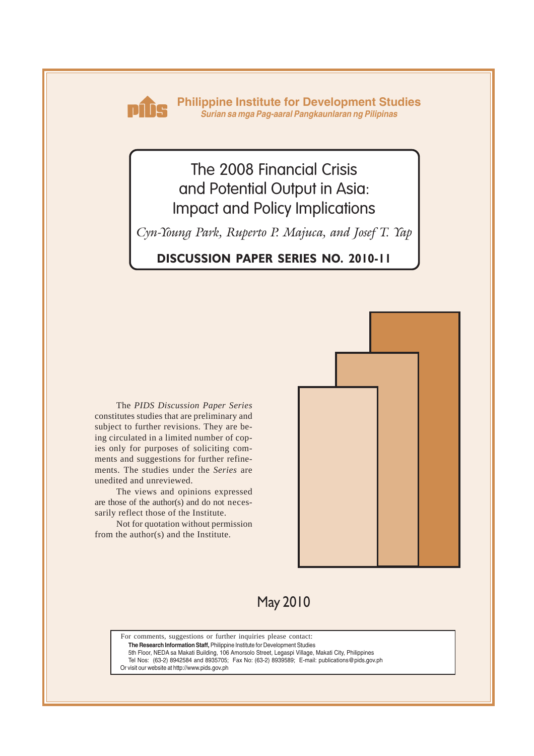

**Philippine Institute for Development Studies** *Surian sa mga Pag-aaral Pangkaunlaran ng Pilipinas*

# The 2008 Financial Crisis and Potential Output in Asia: Impact and Policy Implications

*Cyn-Young Park, Ruperto P. Majuca, and Josef T. Yap*

### **DISCUSSION PAPER SERIES NO. 2010-11**

The *PIDS Discussion Paper Series* constitutes studies that are preliminary and subject to further revisions. They are being circulated in a limited number of copies only for purposes of soliciting comments and suggestions for further refinements. The studies under the *Series* are unedited and unreviewed.

The views and opinions expressed are those of the author(s) and do not necessarily reflect those of the Institute.

Not for quotation without permission from the author(s) and the Institute.



## May 2010

For comments, suggestions or further inquiries please contact: **The Research Information Staff,** Philippine Institute for Development Studies 5th Floor, NEDA sa Makati Building, 106 Amorsolo Street, Legaspi Village, Makati City, Philippines

Tel Nos: (63-2) 8942584 and 8935705; Fax No: (63-2) 8939589; E-mail: publications@pids.gov.ph Or visit our website at http://www.pids.gov.ph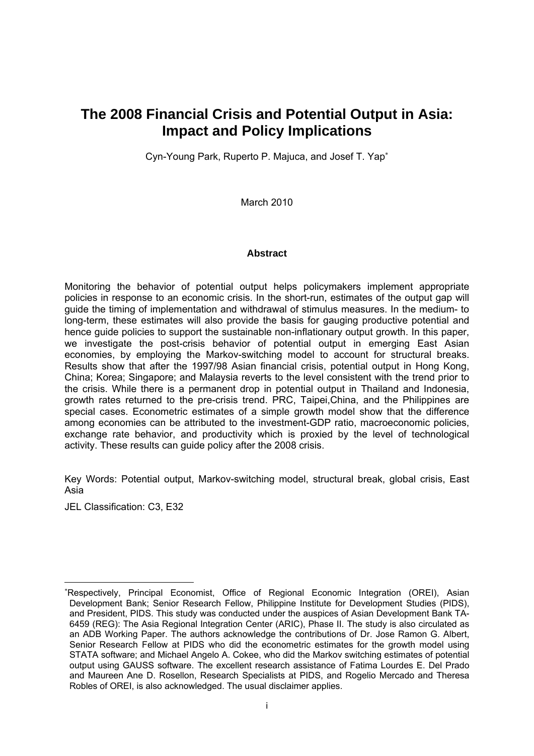## **The 2008 Financial Crisis and Potential Output in Asia: Impact and Policy Implications**

Cyn-Young Park, Ruperto P. Majuca, and Josef T. Yap<sup>∗</sup>

March 2010

#### **Abstract**

Monitoring the behavior of potential output helps policymakers implement appropriate policies in response to an economic crisis. In the short-run, estimates of the output gap will guide the timing of implementation and withdrawal of stimulus measures. In the medium- to long-term, these estimates will also provide the basis for gauging productive potential and hence guide policies to support the sustainable non-inflationary output growth. In this paper, we investigate the post-crisis behavior of potential output in emerging East Asian economies, by employing the Markov-switching model to account for structural breaks. Results show that after the 1997/98 Asian financial crisis, potential output in Hong Kong, China; Korea; Singapore; and Malaysia reverts to the level consistent with the trend prior to the crisis. While there is a permanent drop in potential output in Thailand and Indonesia, growth rates returned to the pre-crisis trend. PRC, Taipei,China, and the Philippines are special cases. Econometric estimates of a simple growth model show that the difference among economies can be attributed to the investment-GDP ratio, macroeconomic policies, exchange rate behavior, and productivity which is proxied by the level of technological activity. These results can guide policy after the 2008 crisis.

Key Words: Potential output, Markov-switching model, structural break, global crisis, East Asia

JEL Classification: C3, E32

<sup>∗</sup> Respectively, Principal Economist, Office of Regional Economic Integration (OREI), Asian Development Bank; Senior Research Fellow, Philippine Institute for Development Studies (PIDS), and President, PIDS. This study was conducted under the auspices of Asian Development Bank TA-6459 (REG): The Asia Regional Integration Center (ARIC), Phase II. The study is also circulated as an ADB Working Paper. The authors acknowledge the contributions of Dr. Jose Ramon G. Albert, Senior Research Fellow at PIDS who did the econometric estimates for the growth model using STATA software; and Michael Angelo A. Cokee, who did the Markov switching estimates of potential output using GAUSS software. The excellent research assistance of Fatima Lourdes E. Del Prado and Maureen Ane D. Rosellon, Research Specialists at PIDS, and Rogelio Mercado and Theresa Robles of OREI, is also acknowledged. The usual disclaimer applies.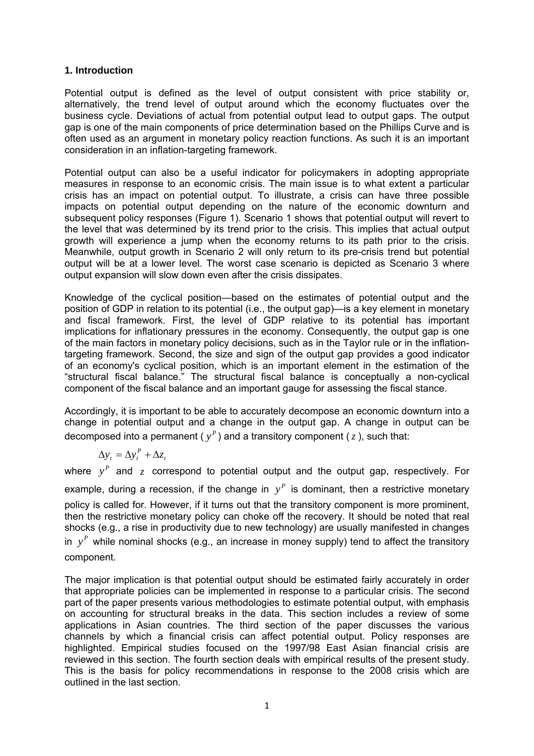#### **1. Introduction**

Potential output is defined as the level of output consistent with price stability or, alternatively, the trend level of output around which the economy fluctuates over the business cycle. Deviations of actual from potential output lead to output gaps. The output gap is one of the main components of price determination based on the Phillips Curve and is often used as an argument in monetary policy reaction functions. As such it is an important consideration in an inflation-targeting framework.

Potential output can also be a useful indicator for policymakers in adopting appropriate measures in response to an economic crisis. The main issue is to what extent a particular crisis has an impact on potential output. To illustrate, a crisis can have three possible impacts on potential output depending on the nature of the economic downturn and subsequent policy responses (Figure 1). Scenario 1 shows that potential output will revert to the level that was determined by its trend prior to the crisis. This implies that actual output growth will experience a jump when the economy returns to its path prior to the crisis. Meanwhile, output growth in Scenario 2 will only return to its pre-crisis trend but potential output will be at a lower level. The worst case scenario is depicted as Scenario 3 where output expansion will slow down even after the crisis dissipates.

Knowledge of the cyclical position—based on the estimates of potential output and the position of GDP in relation to its potential (i.e., the output gap)—is a key element in monetary and fiscal framework. First, the level of GDP relative to its potential has important implications for inflationary pressures in the economy. Consequently, the output gap is one of the main factors in monetary policy decisions, such as in the Taylor rule or in the inflationtargeting framework. Second, the size and sign of the output gap provides a good indicator of an economy's cyclical position, which is an important element in the estimation of the "structural fiscal balance." The structural fiscal balance is conceptually a non-cyclical component of the fiscal balance and an important gauge for assessing the fiscal stance.

Accordingly, it is important to be able to accurately decompose an economic downturn into a change in potential output and a change in the output gap. A change in output can be decomposed into a permanent ( $y<sup>P</sup>$ ) and a transitory component ( $z$ ), such that:

$$
\Delta y_t = \Delta y_t^P + \Delta z_t
$$

where  $y^P$  and  $z$  correspond to potential output and the output gap, respectively. For example, during a recession, if the change in  $y<sup>P</sup>$  is dominant, then a restrictive monetary policy is called for. However, if it turns out that the transitory component is more prominent, then the restrictive monetary policy can choke off the recovery. It should be noted that real shocks (e.g., a rise in productivity due to new technology) are usually manifested in changes in  $y<sup>P</sup>$  while nominal shocks (e.g., an increase in money supply) tend to affect the transitory component.

The major implication is that potential output should be estimated fairly accurately in order that appropriate policies can be implemented in response to a particular crisis. The second part of the paper presents various methodologies to estimate potential output, with emphasis on accounting for structural breaks in the data. This section includes a review of some applications in Asian countries. The third section of the paper discusses the various channels by which a financial crisis can affect potential output. Policy responses are highlighted. Empirical studies focused on the 1997/98 East Asian financial crisis are reviewed in this section. The fourth section deals with empirical results of the present study. This is the basis for policy recommendations in response to the 2008 crisis which are outlined in the last section.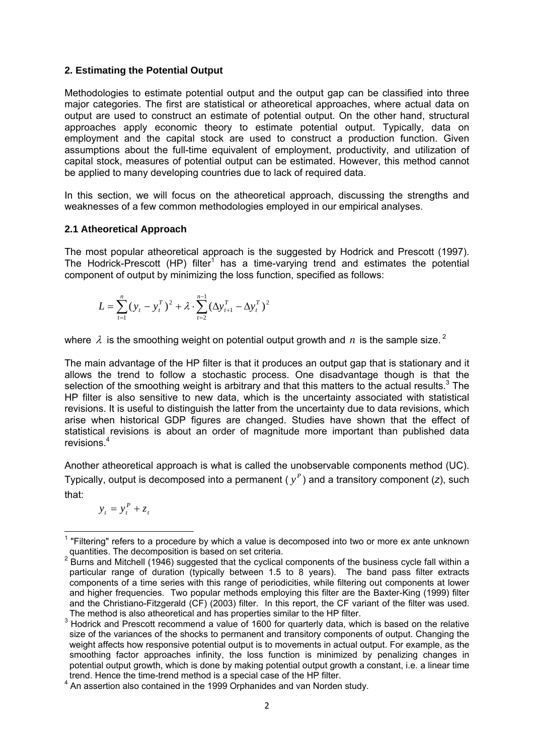#### **2. Estimating the Potential Output**

Methodologies to estimate potential output and the output gap can be classified into three major categories. The first are statistical or atheoretical approaches, where actual data on output are used to construct an estimate of potential output. On the other hand, structural approaches apply economic theory to estimate potential output. Typically, data on employment and the capital stock are used to construct a production function. Given assumptions about the full-time equivalent of employment, productivity, and utilization of capital stock, measures of potential output can be estimated. However, this method cannot be applied to many developing countries due to lack of required data.

In this section, we will focus on the atheoretical approach, discussing the strengths and weaknesses of a few common methodologies employed in our empirical analyses.

#### **2.1 Atheoretical Approach**

The most popular atheoretical approach is the suggested by Hodrick and Prescott (1997). The Hodrick-Prescott (HP) filter<sup>1</sup> has a time-varying trend and estimates the potential component of output by minimizing the loss function, specified as follows:

$$
L = \sum_{t=1}^{n} (y_t - y_t^T)^2 + \lambda \cdot \sum_{t=2}^{n-1} (\Delta y_{t+1}^T - \Delta y_t^T)^2
$$

where  $\lambda$  is the smoothing weight on potential output growth and *n* is the sample size.<sup>2</sup>

The main advantage of the HP filter is that it produces an output gap that is stationary and it allows the trend to follow a stochastic process. One disadvantage though is that the selection of the smoothing weight is arbitrary and that this matters to the actual results. $3$  The HP filter is also sensitive to new data, which is the uncertainty associated with statistical revisions. It is useful to distinguish the latter from the uncertainty due to data revisions, which arise when historical GDP figures are changed. Studies have shown that the effect of statistical revisions is about an order of magnitude more important than published data revisions.4

Another atheoretical approach is what is called the unobservable components method (UC). Typically, output is decomposed into a permanent ( $y<sup>P</sup>$ ) and a transitory component (*z*), such that:

$$
y_t = y_t^P + z_t
$$

<sup>&</sup>lt;u> Termin a shekara ta 1999 a Tarihin a Tarihin a Tarihin a Tarihin a Tarihin a Tarihin a Tarihin a Tarihin a T</u>  $1$  "Filtering" refers to a procedure by which a value is decomposed into two or more ex ante unknown

quantities. The decomposition is based on set criteria.<br><sup>2</sup> Burns and Mitchell (1946) suggested that the cyclical components of the business cycle fall within a particular range of duration (typically between 1.5 to 8 years). The band pass filter extracts components of a time series with this range of periodicities, while filtering out components at lower and higher frequencies. Two popular methods employing this filter are the Baxter-King (1999) filter and the Christiano-Fitzgerald (CF) (2003) filter. In this report, the CF variant of the filter was used. The method is also atheoretical and has properties similar to the HP filter.

 $3$  Hodrick and Prescott recommend a value of 1600 for quarterly data, which is based on the relative size of the variances of the shocks to permanent and transitory components of output. Changing the weight affects how responsive potential output is to movements in actual output. For example, as the smoothing factor approaches infinity, the loss function is minimized by penalizing changes in potential output growth, which is done by making potential output growth a constant, i.e. a linear time trend. Hence the time-trend method is a special case of the HP filter. <sup>4</sup>

<sup>&</sup>lt;sup>4</sup> An assertion also contained in the 1999 Orphanides and van Norden study.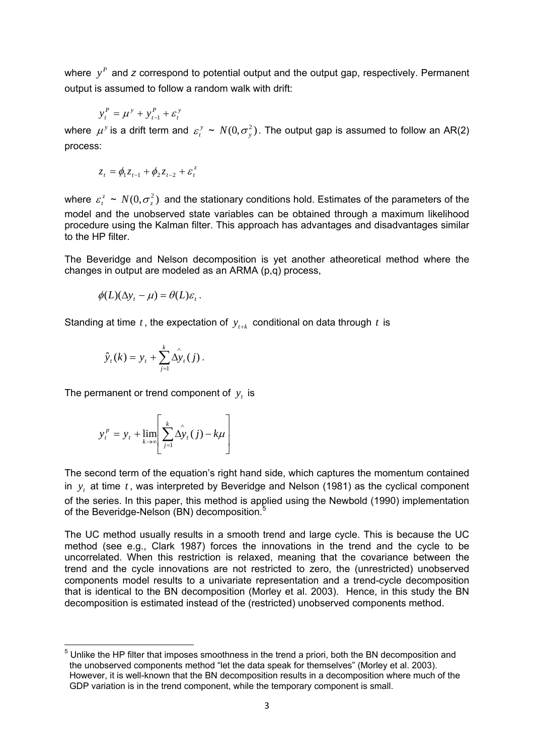where  $y<sup>P</sup>$  and *z* correspond to potential output and the output gap, respectively. Permanent output is assumed to follow a random walk with drift:

$$
y_t^P = \mu^y + y_{t-1}^P + \varepsilon_t^y
$$

where  $\mu^y$  is a drift term and  $\varepsilon_t^y \sim N(0, \sigma_y^2)$ . The output gap is assumed to follow an AR(2) process:

$$
z_{t} = \phi_{1} z_{t-1} + \phi_{2} z_{t-2} + \varepsilon_{t}^{z}
$$

where  $\varepsilon_t^z \sim N(0, \sigma_z^2)$  and the stationary conditions hold. Estimates of the parameters of the model and the unobserved state variables can be obtained through a maximum likelihood procedure using the Kalman filter. This approach has advantages and disadvantages similar to the HP filter.

The Beveridge and Nelson decomposition is yet another atheoretical method where the changes in output are modeled as an ARMA (p,q) process,

$$
\phi(L)(\Delta y_t - \mu) = \theta(L)\varepsilon_t.
$$

Standing at time  $t$ , the expectation of  $y_{t+k}$  conditional on data through  $t$  is

$$
\hat{y}_t(k) = y_t + \sum_{j=1}^k \hat{\Delta y}_t(j).
$$

The permanent or trend component of  $y_t$  is

$$
y_t^p = y_t + \lim_{k \to \infty} \left[ \sum_{j=1}^k \hat{\Delta y}_t(j) - k\mu \right]
$$

The second term of the equation's right hand side, which captures the momentum contained in  $y<sub>i</sub>$  at time  $t<sub>i</sub>$ , was interpreted by Beveridge and Nelson (1981) as the cyclical component of the series. In this paper, this method is applied using the Newbold (1990) implementation of the Beveridge-Nelson (BN) decomposition.<sup>5</sup>

The UC method usually results in a smooth trend and large cycle. This is because the UC method (see e.g., Clark 1987) forces the innovations in the trend and the cycle to be uncorrelated. When this restriction is relaxed, meaning that the covariance between the trend and the cycle innovations are not restricted to zero, the (unrestricted) unobserved components model results to a univariate representation and a trend-cycle decomposition that is identical to the BN decomposition (Morley et al. 2003). Hence, in this study the BN decomposition is estimated instead of the (restricted) unobserved components method.

<sup>————————————————————&</sup>lt;br><sup>5</sup> Unlike the HP filter that imposes smoothness in the trend a priori, both the BN decomposition and the unobserved components method "let the data speak for themselves" (Morley et al. 2003). However, it is well-known that the BN decomposition results in a decomposition where much of the GDP variation is in the trend component, while the temporary component is small.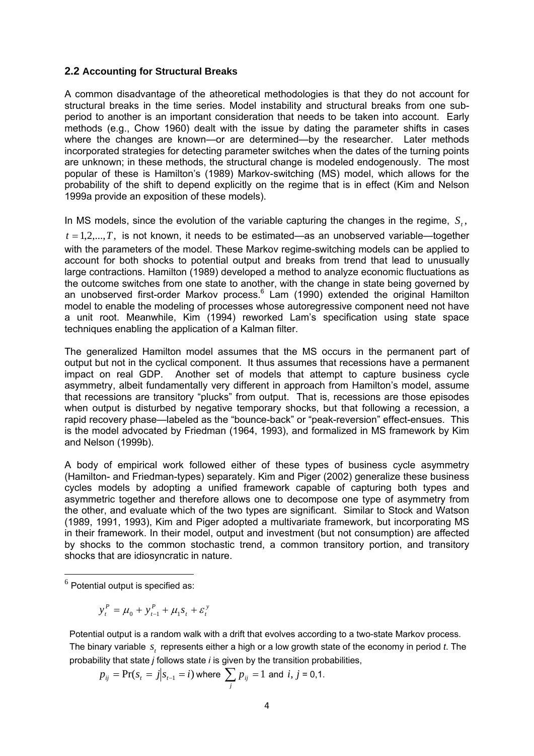#### **2.2 Accounting for Structural Breaks**

A common disadvantage of the atheoretical methodologies is that they do not account for structural breaks in the time series. Model instability and structural breaks from one subperiod to another is an important consideration that needs to be taken into account. Early methods (e.g., Chow 1960) dealt with the issue by dating the parameter shifts in cases where the changes are known—or are determined—by the researcher. Later methods incorporated strategies for detecting parameter switches when the dates of the turning points are unknown; in these methods, the structural change is modeled endogenously. The most popular of these is Hamilton's (1989) Markov-switching (MS) model, which allows for the probability of the shift to depend explicitly on the regime that is in effect (Kim and Nelson 1999a provide an exposition of these models).

In MS models, since the evolution of the variable capturing the changes in the regime,  $S_t$ ,

 $t = 1, 2, \dots, T$ , is not known, it needs to be estimated—as an unobserved variable—together with the parameters of the model. These Markov regime-switching models can be applied to account for both shocks to potential output and breaks from trend that lead to unusually large contractions. Hamilton (1989) developed a method to analyze economic fluctuations as the outcome switches from one state to another, with the change in state being governed by an unobserved first-order Markov process.<sup>6</sup> Lam (1990) extended the original Hamilton model to enable the modeling of processes whose autoregressive component need not have a unit root. Meanwhile, Kim (1994) reworked Lam's specification using state space techniques enabling the application of a Kalman filter.

The generalized Hamilton model assumes that the MS occurs in the permanent part of output but not in the cyclical component. It thus assumes that recessions have a permanent impact on real GDP. Another set of models that attempt to capture business cycle asymmetry, albeit fundamentally very different in approach from Hamilton's model, assume that recessions are transitory "plucks" from output. That is, recessions are those episodes when output is disturbed by negative temporary shocks, but that following a recession, a rapid recovery phase—labeled as the "bounce-back" or "peak-reversion" effect-ensues. This is the model advocated by Friedman (1964, 1993), and formalized in MS framework by Kim and Nelson (1999b).

A body of empirical work followed either of these types of business cycle asymmetry (Hamilton- and Friedman-types) separately. Kim and Piger (2002) generalize these business cycles models by adopting a unified framework capable of capturing both types and asymmetric together and therefore allows one to decompose one type of asymmetry from the other, and evaluate which of the two types are significant. Similar to Stock and Watson (1989, 1991, 1993), Kim and Piger adopted a multivariate framework, but incorporating MS in their framework. In their model, output and investment (but not consumption) are affected by shocks to the common stochastic trend, a common transitory portion, and transitory shocks that are idiosyncratic in nature.

$$
y_t^P = \mu_0 + y_{t-1}^P + \mu_1 s_t + \varepsilon_t^y
$$

 Potential output is a random walk with a drift that evolves according to a two-state Markov process. The binary variable *s*, represents either a high or a low growth state of the economy in period *t*. The probability that state *j* follows state *i* is given by the transition probabilities,

$$
p_{ij} = Pr(s_t = j | s_{t-1} = i)
$$
 where  $\sum_j p_{ij} = 1$  and  $i, j = 0,1$ .

  $<sup>6</sup>$  Potential output is specified as:</sup>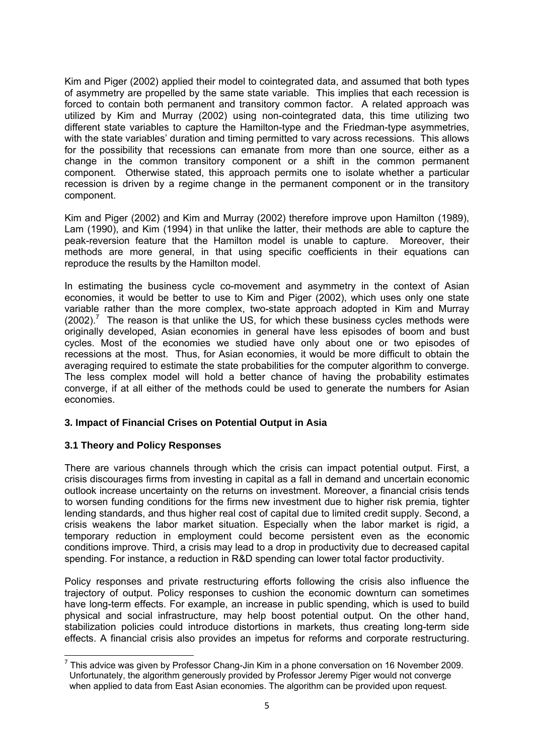Kim and Piger (2002) applied their model to cointegrated data, and assumed that both types of asymmetry are propelled by the same state variable. This implies that each recession is forced to contain both permanent and transitory common factor. A related approach was utilized by Kim and Murray (2002) using non-cointegrated data, this time utilizing two different state variables to capture the Hamilton-type and the Friedman-type asymmetries, with the state variables' duration and timing permitted to vary across recessions. This allows for the possibility that recessions can emanate from more than one source, either as a change in the common transitory component or a shift in the common permanent component. Otherwise stated, this approach permits one to isolate whether a particular recession is driven by a regime change in the permanent component or in the transitory component.

Kim and Piger (2002) and Kim and Murray (2002) therefore improve upon Hamilton (1989), Lam (1990), and Kim (1994) in that unlike the latter, their methods are able to capture the peak-reversion feature that the Hamilton model is unable to capture. Moreover, their methods are more general, in that using specific coefficients in their equations can reproduce the results by the Hamilton model.

In estimating the business cycle co-movement and asymmetry in the context of Asian economies, it would be better to use to Kim and Piger (2002), which uses only one state variable rather than the more complex, two-state approach adopted in Kim and Murray  $(2002).$ <sup>7</sup> The reason is that unlike the US, for which these business cycles methods were originally developed, Asian economies in general have less episodes of boom and bust cycles. Most of the economies we studied have only about one or two episodes of recessions at the most. Thus, for Asian economies, it would be more difficult to obtain the averaging required to estimate the state probabilities for the computer algorithm to converge. The less complex model will hold a better chance of having the probability estimates converge, if at all either of the methods could be used to generate the numbers for Asian economies.

#### **3. Impact of Financial Crises on Potential Output in Asia**

#### **3.1 Theory and Policy Responses**

There are various channels through which the crisis can impact potential output. First, a crisis discourages firms from investing in capital as a fall in demand and uncertain economic outlook increase uncertainty on the returns on investment. Moreover, a financial crisis tends to worsen funding conditions for the firms new investment due to higher risk premia, tighter lending standards, and thus higher real cost of capital due to limited credit supply. Second, a crisis weakens the labor market situation. Especially when the labor market is rigid, a temporary reduction in employment could become persistent even as the economic conditions improve. Third, a crisis may lead to a drop in productivity due to decreased capital spending. For instance, a reduction in R&D spending can lower total factor productivity.

Policy responses and private restructuring efforts following the crisis also influence the trajectory of output. Policy responses to cushion the economic downturn can sometimes have long-term effects. For example, an increase in public spending, which is used to build physical and social infrastructure, may help boost potential output. On the other hand, stabilization policies could introduce distortions in markets, thus creating long-term side effects. A financial crisis also provides an impetus for reforms and corporate restructuring.

  $<sup>7</sup>$  This advice was given by Professor Chang-Jin Kim in a phone conversation on 16 November 2009.</sup> Unfortunately, the algorithm generously provided by Professor Jeremy Piger would not converge when applied to data from East Asian economies. The algorithm can be provided upon request.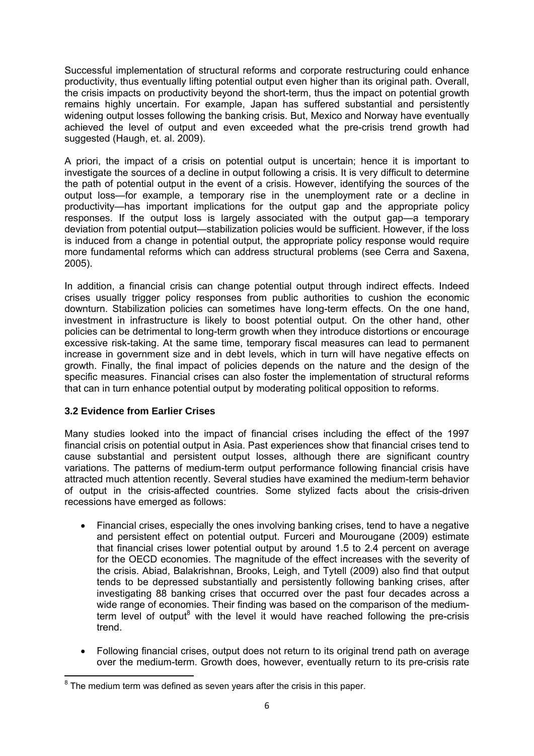Successful implementation of structural reforms and corporate restructuring could enhance productivity, thus eventually lifting potential output even higher than its original path. Overall, the crisis impacts on productivity beyond the short-term, thus the impact on potential growth remains highly uncertain. For example, Japan has suffered substantial and persistently widening output losses following the banking crisis. But, Mexico and Norway have eventually achieved the level of output and even exceeded what the pre-crisis trend growth had suggested (Haugh, et. al. 2009).

A priori, the impact of a crisis on potential output is uncertain; hence it is important to investigate the sources of a decline in output following a crisis. It is very difficult to determine the path of potential output in the event of a crisis. However, identifying the sources of the output loss—for example, a temporary rise in the unemployment rate or a decline in productivity—has important implications for the output gap and the appropriate policy responses. If the output loss is largely associated with the output gap—a temporary deviation from potential output—stabilization policies would be sufficient. However, if the loss is induced from a change in potential output, the appropriate policy response would require more fundamental reforms which can address structural problems (see Cerra and Saxena, 2005).

In addition, a financial crisis can change potential output through indirect effects. Indeed crises usually trigger policy responses from public authorities to cushion the economic downturn. Stabilization policies can sometimes have long-term effects. On the one hand, investment in infrastructure is likely to boost potential output. On the other hand, other policies can be detrimental to long-term growth when they introduce distortions or encourage excessive risk-taking. At the same time, temporary fiscal measures can lead to permanent increase in government size and in debt levels, which in turn will have negative effects on growth. Finally, the final impact of policies depends on the nature and the design of the specific measures. Financial crises can also foster the implementation of structural reforms that can in turn enhance potential output by moderating political opposition to reforms.

#### **3.2 Evidence from Earlier Crises**

Many studies looked into the impact of financial crises including the effect of the 1997 financial crisis on potential output in Asia. Past experiences show that financial crises tend to cause substantial and persistent output losses, although there are significant country variations. The patterns of medium-term output performance following financial crisis have attracted much attention recently. Several studies have examined the medium-term behavior of output in the crisis-affected countries. Some stylized facts about the crisis-driven recessions have emerged as follows:

- Financial crises, especially the ones involving banking crises, tend to have a negative and persistent effect on potential output. Furceri and Mourougane (2009) estimate that financial crises lower potential output by around 1.5 to 2.4 percent on average for the OECD economies. The magnitude of the effect increases with the severity of the crisis. Abiad, Balakrishnan, Brooks, Leigh, and Tytell (2009) also find that output tends to be depressed substantially and persistently following banking crises, after investigating 88 banking crises that occurred over the past four decades across a wide range of economies. Their finding was based on the comparison of the mediumterm level of output<sup>8</sup> with the level it would have reached following the pre-crisis trend.
- Following financial crises, output does not return to its original trend path on average over the medium-term. Growth does, however, eventually return to its pre-crisis rate

 8 The medium term was defined as seven years after the crisis in this paper.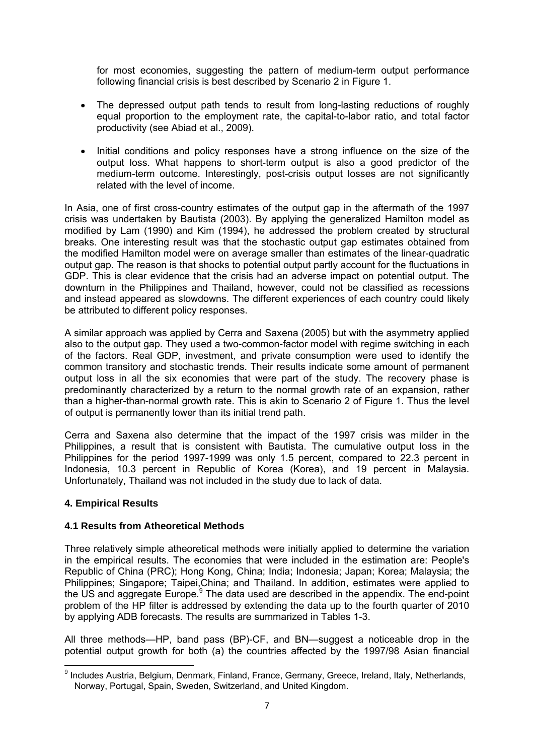for most economies, suggesting the pattern of medium-term output performance following financial crisis is best described by Scenario 2 in Figure 1.

- The depressed output path tends to result from long-lasting reductions of roughly equal proportion to the employment rate, the capital-to-labor ratio, and total factor productivity (see Abiad et al., 2009).
- Initial conditions and policy responses have a strong influence on the size of the output loss. What happens to short-term output is also a good predictor of the medium-term outcome. Interestingly, post-crisis output losses are not significantly related with the level of income.

In Asia, one of first cross-country estimates of the output gap in the aftermath of the 1997 crisis was undertaken by Bautista (2003). By applying the generalized Hamilton model as modified by Lam (1990) and Kim (1994), he addressed the problem created by structural breaks. One interesting result was that the stochastic output gap estimates obtained from the modified Hamilton model were on average smaller than estimates of the linear-quadratic output gap. The reason is that shocks to potential output partly account for the fluctuations in GDP. This is clear evidence that the crisis had an adverse impact on potential output. The downturn in the Philippines and Thailand, however, could not be classified as recessions and instead appeared as slowdowns. The different experiences of each country could likely be attributed to different policy responses.

A similar approach was applied by Cerra and Saxena (2005) but with the asymmetry applied also to the output gap. They used a two-common-factor model with regime switching in each of the factors. Real GDP, investment, and private consumption were used to identify the common transitory and stochastic trends. Their results indicate some amount of permanent output loss in all the six economies that were part of the study. The recovery phase is predominantly characterized by a return to the normal growth rate of an expansion, rather than a higher-than-normal growth rate. This is akin to Scenario 2 of Figure 1. Thus the level of output is permanently lower than its initial trend path.

Cerra and Saxena also determine that the impact of the 1997 crisis was milder in the Philippines, a result that is consistent with Bautista. The cumulative output loss in the Philippines for the period 1997-1999 was only 1.5 percent, compared to 22.3 percent in Indonesia, 10.3 percent in Republic of Korea (Korea), and 19 percent in Malaysia. Unfortunately, Thailand was not included in the study due to lack of data.

#### **4. Empirical Results**

#### **4.1 Results from Atheoretical Methods**

Three relatively simple atheoretical methods were initially applied to determine the variation in the empirical results. The economies that were included in the estimation are: People's Republic of China (PRC); Hong Kong, China; India; Indonesia; Japan; Korea; Malaysia; the Philippines; Singapore; Taipei,China; and Thailand. In addition, estimates were applied to the US and aggregate Europe.<sup>9</sup> The data used are described in the appendix. The end-point problem of the HP filter is addressed by extending the data up to the fourth quarter of 2010 by applying ADB forecasts. The results are summarized in Tables 1-3.

All three methods—HP, band pass (BP)-CF, and BN—suggest a noticeable drop in the potential output growth for both (a) the countries affected by the 1997/98 Asian financial

 9 Includes Austria, Belgium, Denmark, Finland, France, Germany, Greece, Ireland, Italy, Netherlands, Norway, Portugal, Spain, Sweden, Switzerland, and United Kingdom.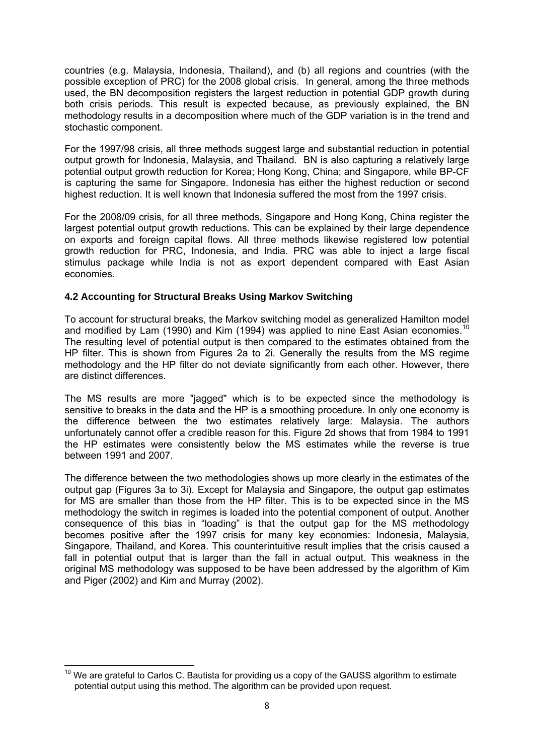countries (e.g. Malaysia, Indonesia, Thailand), and (b) all regions and countries (with the possible exception of PRC) for the 2008 global crisis. In general, among the three methods used, the BN decomposition registers the largest reduction in potential GDP growth during both crisis periods. This result is expected because, as previously explained, the BN methodology results in a decomposition where much of the GDP variation is in the trend and stochastic component.

For the 1997/98 crisis, all three methods suggest large and substantial reduction in potential output growth for Indonesia, Malaysia, and Thailand. BN is also capturing a relatively large potential output growth reduction for Korea; Hong Kong, China; and Singapore, while BP-CF is capturing the same for Singapore. Indonesia has either the highest reduction or second highest reduction. It is well known that Indonesia suffered the most from the 1997 crisis.

For the 2008/09 crisis, for all three methods, Singapore and Hong Kong, China register the largest potential output growth reductions. This can be explained by their large dependence on exports and foreign capital flows. All three methods likewise registered low potential growth reduction for PRC, Indonesia, and India. PRC was able to inject a large fiscal stimulus package while India is not as export dependent compared with East Asian economies.

#### **4.2 Accounting for Structural Breaks Using Markov Switching**

To account for structural breaks, the Markov switching model as generalized Hamilton model and modified by Lam (1990) and Kim (1994) was applied to nine East Asian economies.<sup>10</sup> The resulting level of potential output is then compared to the estimates obtained from the HP filter. This is shown from Figures 2a to 2i. Generally the results from the MS regime methodology and the HP filter do not deviate significantly from each other. However, there are distinct differences.

The MS results are more "jagged" which is to be expected since the methodology is sensitive to breaks in the data and the HP is a smoothing procedure. In only one economy is the difference between the two estimates relatively large: Malaysia. The authors unfortunately cannot offer a credible reason for this. Figure 2d shows that from 1984 to 1991 the HP estimates were consistently below the MS estimates while the reverse is true between 1991 and 2007.

The difference between the two methodologies shows up more clearly in the estimates of the output gap (Figures 3a to 3i). Except for Malaysia and Singapore, the output gap estimates for MS are smaller than those from the HP filter. This is to be expected since in the MS methodology the switch in regimes is loaded into the potential component of output. Another consequence of this bias in "loading" is that the output gap for the MS methodology becomes positive after the 1997 crisis for many key economies: Indonesia, Malaysia, Singapore, Thailand, and Korea. This counterintuitive result implies that the crisis caused a fall in potential output that is larger than the fall in actual output. This weakness in the original MS methodology was supposed to be have been addressed by the algorithm of Kim and Piger (2002) and Kim and Murray (2002).

<sup>&</sup>lt;u> Tanzania (h. 1878).</u><br>Igarraren 18a - Antonio III.a, frantziar espainiar eta idazlea (h. 1870).  $10$  We are grateful to Carlos C. Bautista for providing us a copy of the GAUSS algorithm to estimate potential output using this method. The algorithm can be provided upon request.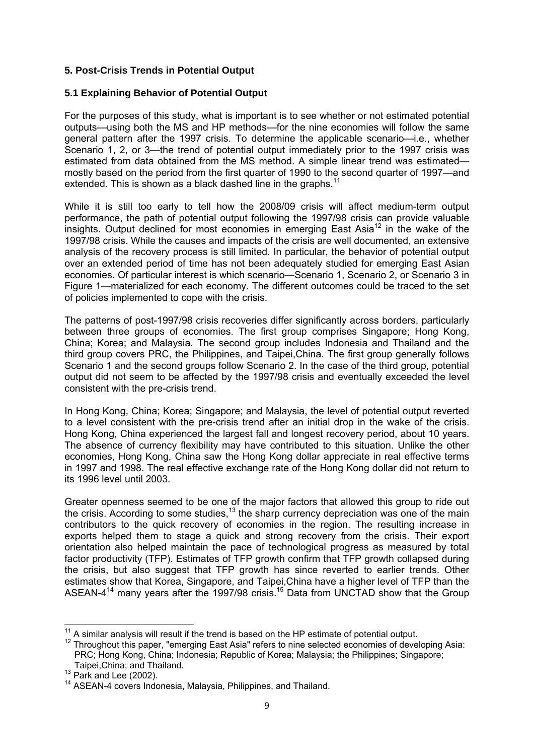#### **5. Post-Crisis Trends in Potential Output**

#### **5.1 Explaining Behavior of Potential Output**

For the purposes of this study, what is important is to see whether or not estimated potential outputs—using both the MS and HP methods—for the nine economies will follow the same general pattern after the 1997 crisis. To determine the applicable scenario—i.e., whether Scenario 1, 2, or 3—the trend of potential output immediately prior to the 1997 crisis was estimated from data obtained from the MS method. A simple linear trend was estimated mostly based on the period from the first quarter of 1990 to the second quarter of 1997—and extended. This is shown as a black dashed line in the graphs.<sup>11</sup>

While it is still too early to tell how the 2008/09 crisis will affect medium-term output performance, the path of potential output following the 1997/98 crisis can provide valuable insights. Output declined for most economies in emerging East Asia<sup>12</sup> in the wake of the 1997/98 crisis. While the causes and impacts of the crisis are well documented, an extensive analysis of the recovery process is still limited. In particular, the behavior of potential output over an extended period of time has not been adequately studied for emerging East Asian economies. Of particular interest is which scenario—Scenario 1, Scenario 2, or Scenario 3 in Figure 1—materialized for each economy. The different outcomes could be traced to the set of policies implemented to cope with the crisis.

The patterns of post-1997/98 crisis recoveries differ significantly across borders, particularly between three groups of economies. The first group comprises Singapore; Hong Kong, China; Korea; and Malaysia. The second group includes Indonesia and Thailand and the third group covers PRC, the Philippines, and Taipei,China. The first group generally follows Scenario 1 and the second groups follow Scenario 2. In the case of the third group, potential output did not seem to be affected by the 1997/98 crisis and eventually exceeded the level consistent with the pre-crisis trend.

In Hong Kong, China; Korea; Singapore; and Malaysia, the level of potential output reverted to a level consistent with the pre-crisis trend after an initial drop in the wake of the crisis. Hong Kong, China experienced the largest fall and longest recovery period, about 10 years. The absence of currency flexibility may have contributed to this situation. Unlike the other economies, Hong Kong, China saw the Hong Kong dollar appreciate in real effective terms in 1997 and 1998. The real effective exchange rate of the Hong Kong dollar did not return to its 1996 level until 2003.

Greater openness seemed to be one of the major factors that allowed this group to ride out the crisis. According to some studies,<sup>13</sup> the sharp currency depreciation was one of the main contributors to the quick recovery of economies in the region. The resulting increase in exports helped them to stage a quick and strong recovery from the crisis. Their export orientation also helped maintain the pace of technological progress as measured by total factor productivity (TFP). Estimates of TFP growth confirm that TFP growth collapsed during the crisis, but also suggest that TFP growth has since reverted to earlier trends. Other estimates show that Korea, Singapore, and Taipei,China have a higher level of TFP than the ASEAN-414 many years after the 1997/98 crisis.15 Data from UNCTAD show that the Group

 $11$  A similar analysis will result if the trend is based on the HP estimate of potential output.

 $12$  Throughout this paper, "emerging East Asia" refers to nine selected economies of developing Asia: PRC; Hong Kong, China; Indonesia; Republic of Korea; Malaysia; the Philippines; Singapore;

Taipei,China; and Thailand.<br><sup>13</sup> Park and Lee (2002).<br><sup>14</sup> ASEAN-4 covers Indonesia, Malaysia, Philippines, and Thailand.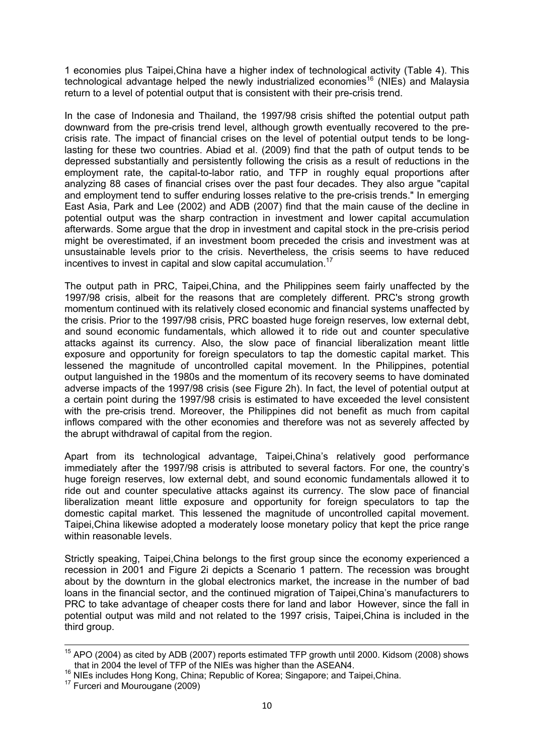1 economies plus Taipei,China have a higher index of technological activity (Table 4). This technological advantage helped the newly industrialized economies<sup>16</sup> (NIEs) and Malaysia return to a level of potential output that is consistent with their pre-crisis trend.

In the case of Indonesia and Thailand, the 1997/98 crisis shifted the potential output path downward from the pre-crisis trend level, although growth eventually recovered to the precrisis rate. The impact of financial crises on the level of potential output tends to be longlasting for these two countries. Abiad et al. (2009) find that the path of output tends to be depressed substantially and persistently following the crisis as a result of reductions in the employment rate, the capital-to-labor ratio, and TFP in roughly equal proportions after analyzing 88 cases of financial crises over the past four decades. They also argue "capital and employment tend to suffer enduring losses relative to the pre-crisis trends." In emerging East Asia, Park and Lee (2002) and ADB (2007) find that the main cause of the decline in potential output was the sharp contraction in investment and lower capital accumulation afterwards. Some argue that the drop in investment and capital stock in the pre-crisis period might be overestimated, if an investment boom preceded the crisis and investment was at unsustainable levels prior to the crisis. Nevertheless, the crisis seems to have reduced incentives to invest in capital and slow capital accumulation.<sup>17</sup>

The output path in PRC, Taipei,China, and the Philippines seem fairly unaffected by the 1997/98 crisis, albeit for the reasons that are completely different. PRC's strong growth momentum continued with its relatively closed economic and financial systems unaffected by the crisis. Prior to the 1997/98 crisis, PRC boasted huge foreign reserves, low external debt, and sound economic fundamentals, which allowed it to ride out and counter speculative attacks against its currency. Also, the slow pace of financial liberalization meant little exposure and opportunity for foreign speculators to tap the domestic capital market. This lessened the magnitude of uncontrolled capital movement. In the Philippines, potential output languished in the 1980s and the momentum of its recovery seems to have dominated adverse impacts of the 1997/98 crisis (see Figure 2h). In fact, the level of potential output at a certain point during the 1997/98 crisis is estimated to have exceeded the level consistent with the pre-crisis trend. Moreover, the Philippines did not benefit as much from capital inflows compared with the other economies and therefore was not as severely affected by the abrupt withdrawal of capital from the region.

Apart from its technological advantage, Taipei,China's relatively good performance immediately after the 1997/98 crisis is attributed to several factors. For one, the country's huge foreign reserves, low external debt, and sound economic fundamentals allowed it to ride out and counter speculative attacks against its currency. The slow pace of financial liberalization meant little exposure and opportunity for foreign speculators to tap the domestic capital market. This lessened the magnitude of uncontrolled capital movement. Taipei,China likewise adopted a moderately loose monetary policy that kept the price range within reasonable levels.

Strictly speaking, Taipei,China belongs to the first group since the economy experienced a recession in 2001 and Figure 2i depicts a Scenario 1 pattern. The recession was brought about by the downturn in the global electronics market, the increase in the number of bad loans in the financial sector, and the continued migration of Taipei,China's manufacturers to PRC to take advantage of cheaper costs there for land and labor However, since the fall in potential output was mild and not related to the 1997 crisis, Taipei,China is included in the third group.

<sup>&</sup>lt;sup>15</sup> APO (2004) as cited by ADB (2007) reports estimated TFP growth until 2000. Kidsom (2008) shows that in 2004 the level of TFP of the NIEs was higher than the ASEAN4.

that in 2004 the Tevel of Tevel of the Nina; Republic of Korea; Singapore; and Taipei,China. 17 Furceri and Mourougane (2009)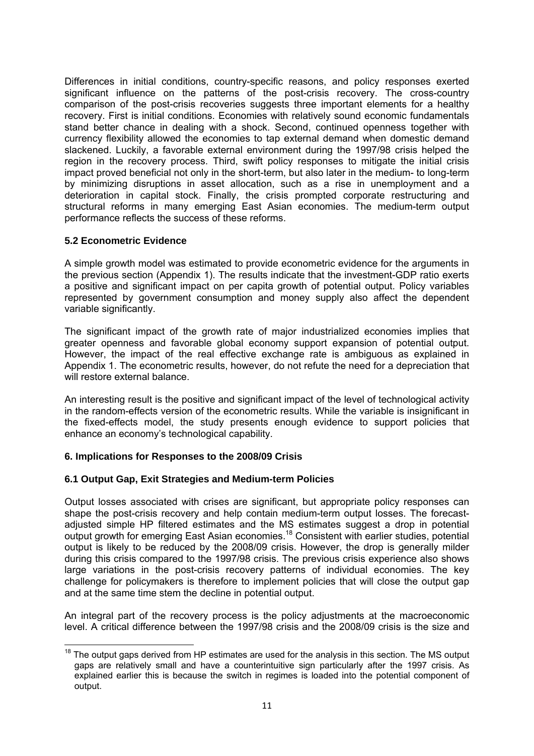Differences in initial conditions, country-specific reasons, and policy responses exerted significant influence on the patterns of the post-crisis recovery. The cross-country comparison of the post-crisis recoveries suggests three important elements for a healthy recovery. First is initial conditions. Economies with relatively sound economic fundamentals stand better chance in dealing with a shock. Second, continued openness together with currency flexibility allowed the economies to tap external demand when domestic demand slackened. Luckily, a favorable external environment during the 1997/98 crisis helped the region in the recovery process. Third, swift policy responses to mitigate the initial crisis impact proved beneficial not only in the short-term, but also later in the medium- to long-term by minimizing disruptions in asset allocation, such as a rise in unemployment and a deterioration in capital stock. Finally, the crisis prompted corporate restructuring and structural reforms in many emerging East Asian economies. The medium-term output performance reflects the success of these reforms.

#### **5.2 Econometric Evidence**

A simple growth model was estimated to provide econometric evidence for the arguments in the previous section (Appendix 1). The results indicate that the investment-GDP ratio exerts a positive and significant impact on per capita growth of potential output. Policy variables represented by government consumption and money supply also affect the dependent variable significantly.

The significant impact of the growth rate of major industrialized economies implies that greater openness and favorable global economy support expansion of potential output. However, the impact of the real effective exchange rate is ambiguous as explained in Appendix 1. The econometric results, however, do not refute the need for a depreciation that will restore external balance.

An interesting result is the positive and significant impact of the level of technological activity in the random-effects version of the econometric results. While the variable is insignificant in the fixed-effects model, the study presents enough evidence to support policies that enhance an economy's technological capability.

#### **6. Implications for Responses to the 2008/09 Crisis**

#### **6.1 Output Gap, Exit Strategies and Medium-term Policies**

Output losses associated with crises are significant, but appropriate policy responses can shape the post-crisis recovery and help contain medium-term output losses. The forecastadjusted simple HP filtered estimates and the MS estimates suggest a drop in potential output growth for emerging East Asian economies.18 Consistent with earlier studies, potential output is likely to be reduced by the 2008/09 crisis. However, the drop is generally milder during this crisis compared to the 1997/98 crisis. The previous crisis experience also shows large variations in the post-crisis recovery patterns of individual economies. The key challenge for policymakers is therefore to implement policies that will close the output gap and at the same time stem the decline in potential output.

An integral part of the recovery process is the policy adjustments at the macroeconomic level. A critical difference between the 1997/98 crisis and the 2008/09 crisis is the size and

  $18$  The output gaps derived from HP estimates are used for the analysis in this section. The MS output gaps are relatively small and have a counterintuitive sign particularly after the 1997 crisis. As explained earlier this is because the switch in regimes is loaded into the potential component of output.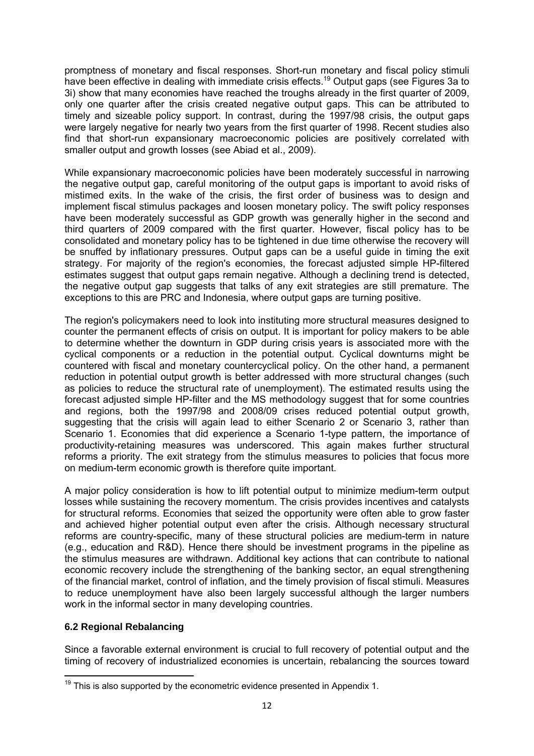promptness of monetary and fiscal responses. Short-run monetary and fiscal policy stimuli have been effective in dealing with immediate crisis effects.<sup>19</sup> Output gaps (see Figures 3a to 3i) show that many economies have reached the troughs already in the first quarter of 2009, only one quarter after the crisis created negative output gaps. This can be attributed to timely and sizeable policy support. In contrast, during the 1997/98 crisis, the output gaps were largely negative for nearly two years from the first quarter of 1998. Recent studies also find that short-run expansionary macroeconomic policies are positively correlated with smaller output and growth losses (see Abiad et al., 2009).

While expansionary macroeconomic policies have been moderately successful in narrowing the negative output gap, careful monitoring of the output gaps is important to avoid risks of mistimed exits. In the wake of the crisis, the first order of business was to design and implement fiscal stimulus packages and loosen monetary policy. The swift policy responses have been moderately successful as GDP growth was generally higher in the second and third quarters of 2009 compared with the first quarter. However, fiscal policy has to be consolidated and monetary policy has to be tightened in due time otherwise the recovery will be snuffed by inflationary pressures. Output gaps can be a useful guide in timing the exit strategy. For majority of the region's economies, the forecast adjusted simple HP-filtered estimates suggest that output gaps remain negative. Although a declining trend is detected, the negative output gap suggests that talks of any exit strategies are still premature. The exceptions to this are PRC and Indonesia, where output gaps are turning positive.

The region's policymakers need to look into instituting more structural measures designed to counter the permanent effects of crisis on output. It is important for policy makers to be able to determine whether the downturn in GDP during crisis years is associated more with the cyclical components or a reduction in the potential output. Cyclical downturns might be countered with fiscal and monetary countercyclical policy. On the other hand, a permanent reduction in potential output growth is better addressed with more structural changes (such as policies to reduce the structural rate of unemployment). The estimated results using the forecast adjusted simple HP-filter and the MS methodology suggest that for some countries and regions, both the 1997/98 and 2008/09 crises reduced potential output growth, suggesting that the crisis will again lead to either Scenario 2 or Scenario 3, rather than Scenario 1. Economies that did experience a Scenario 1-type pattern, the importance of productivity-retaining measures was underscored. This again makes further structural reforms a priority. The exit strategy from the stimulus measures to policies that focus more on medium-term economic growth is therefore quite important.

A major policy consideration is how to lift potential output to minimize medium-term output losses while sustaining the recovery momentum. The crisis provides incentives and catalysts for structural reforms. Economies that seized the opportunity were often able to grow faster and achieved higher potential output even after the crisis. Although necessary structural reforms are country-specific, many of these structural policies are medium-term in nature (e.g., education and R&D). Hence there should be investment programs in the pipeline as the stimulus measures are withdrawn. Additional key actions that can contribute to national economic recovery include the strengthening of the banking sector, an equal strengthening of the financial market, control of inflation, and the timely provision of fiscal stimuli. Measures to reduce unemployment have also been largely successful although the larger numbers work in the informal sector in many developing countries.

#### **6.2 Regional Rebalancing**

Since a favorable external environment is crucial to full recovery of potential output and the timing of recovery of industrialized economies is uncertain, rebalancing the sources toward

  $19$  This is also supported by the econometric evidence presented in Appendix 1.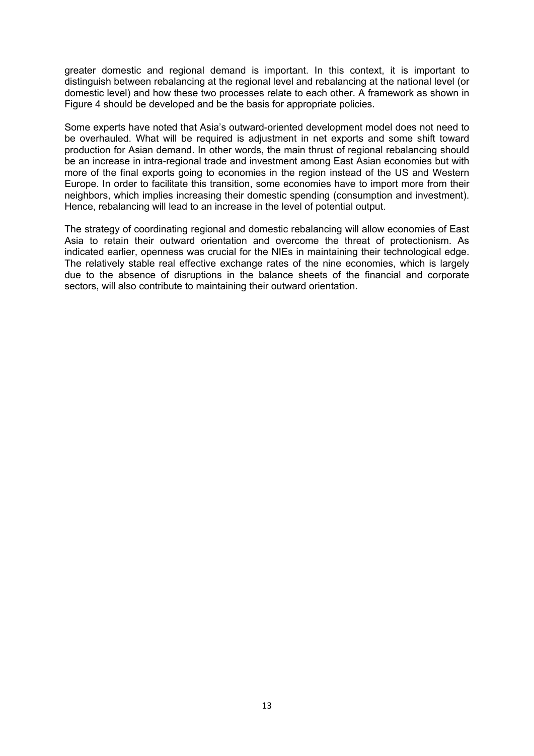greater domestic and regional demand is important. In this context, it is important to distinguish between rebalancing at the regional level and rebalancing at the national level (or domestic level) and how these two processes relate to each other. A framework as shown in Figure 4 should be developed and be the basis for appropriate policies.

Some experts have noted that Asia's outward-oriented development model does not need to be overhauled. What will be required is adjustment in net exports and some shift toward production for Asian demand. In other words, the main thrust of regional rebalancing should be an increase in intra-regional trade and investment among East Asian economies but with more of the final exports going to economies in the region instead of the US and Western Europe. In order to facilitate this transition, some economies have to import more from their neighbors, which implies increasing their domestic spending (consumption and investment). Hence, rebalancing will lead to an increase in the level of potential output.

The strategy of coordinating regional and domestic rebalancing will allow economies of East Asia to retain their outward orientation and overcome the threat of protectionism. As indicated earlier, openness was crucial for the NIEs in maintaining their technological edge. The relatively stable real effective exchange rates of the nine economies, which is largely due to the absence of disruptions in the balance sheets of the financial and corporate sectors, will also contribute to maintaining their outward orientation.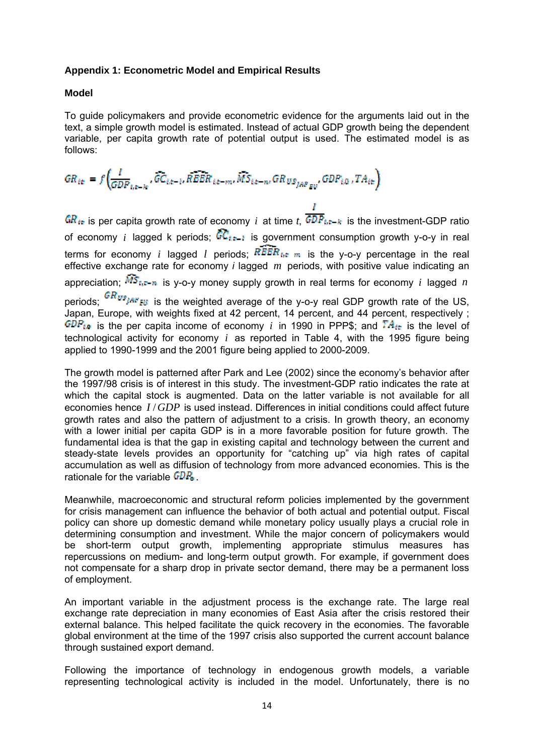#### **Appendix 1: Econometric Model and Empirical Results**

#### **Model**

To guide policymakers and provide econometric evidence for the arguments laid out in the text, a simple growth model is estimated. Instead of actual GDP growth being the dependent variable, per capita growth rate of potential output is used. The estimated model is as follows:

$$
GR_{it} = f\left(\frac{I}{GDP_{i,t-k}}, \widetilde{GC}_{i,t-i}, \widetilde{RBER}_{i,t-m}, \widetilde{MS}_{i,t-n}, GR_{US_{JAF_{EU}}}, GDP_{i,0}, TA_{it}\right)
$$

 $GR_{tt}$  is per capita growth rate of economy *i* at time *t*,  $\overline{GDP}_{tt-t-k}$  is the investment-GDP ratio of economy *i* lagged k periods;  $\widehat{GL}_{i,t-1}$  is government consumption growth y-o-y in real terms for economy *i* lagged *l* periods;  $\widehat{REER}_{6,t,m}$  is the y-o-y percentage in the real effective exchange rate for economy *i* lagged *m* periods, with positive value indicating an appreciation;  $\widehat{MS}_{f,n-m}$  is y-o-y money supply growth in real terms for economy *i* lagged *n* periods;  $\frac{GR_{USfAK}}{B}$  is the weighted average of the y-o-y real GDP growth rate of the US, Japan, Europe, with weights fixed at 42 percent, 14 percent, and 44 percent, respectively ;  $GDP_{t,0}$  is the per capita income of economy *i* in 1990 in PPP\$; and  $TA_{t\cdot t}$  is the level of technological activity for economy *i* as reported in Table 4, with the 1995 figure being applied to 1990-1999 and the 2001 figure being applied to 2000-2009.

The growth model is patterned after Park and Lee (2002) since the economy's behavior after the 1997/98 crisis is of interest in this study. The investment-GDP ratio indicates the rate at which the capital stock is augmented. Data on the latter variable is not available for all economies hence *I* /*GDP* is used instead. Differences in initial conditions could affect future growth rates and also the pattern of adjustment to a crisis. In growth theory, an economy with a lower initial per capita GDP is in a more favorable position for future growth. The fundamental idea is that the gap in existing capital and technology between the current and steady-state levels provides an opportunity for "catching up" via high rates of capital accumulation as well as diffusion of technology from more advanced economies. This is the rationale for the variable  $GDR<sub>0</sub>$ .

Meanwhile, macroeconomic and structural reform policies implemented by the government for crisis management can influence the behavior of both actual and potential output. Fiscal policy can shore up domestic demand while monetary policy usually plays a crucial role in determining consumption and investment. While the major concern of policymakers would be short-term output growth, implementing appropriate stimulus measures has repercussions on medium- and long-term output growth. For example, if government does not compensate for a sharp drop in private sector demand, there may be a permanent loss of employment.

An important variable in the adjustment process is the exchange rate. The large real exchange rate depreciation in many economies of East Asia after the crisis restored their external balance. This helped facilitate the quick recovery in the economies. The favorable global environment at the time of the 1997 crisis also supported the current account balance through sustained export demand.

Following the importance of technology in endogenous growth models, a variable representing technological activity is included in the model. Unfortunately, there is no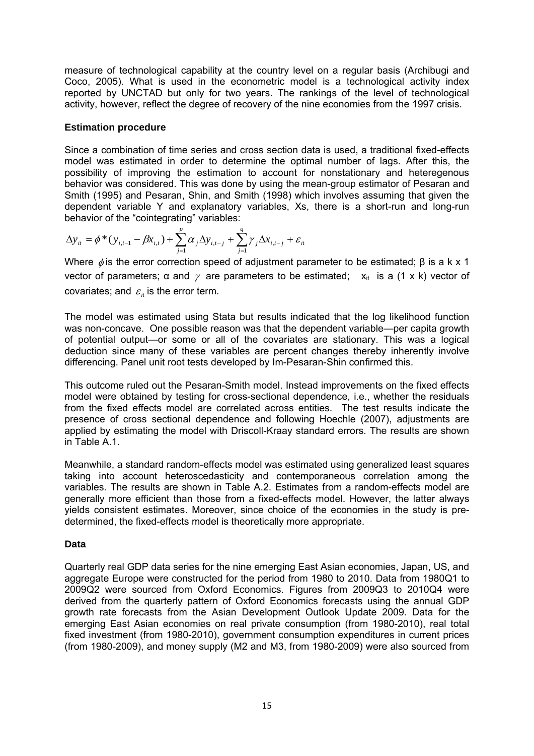measure of technological capability at the country level on a regular basis (Archibugi and Coco, 2005). What is used in the econometric model is a technological activity index reported by UNCTAD but only for two years. The rankings of the level of technological activity, however, reflect the degree of recovery of the nine economies from the 1997 crisis.

#### **Estimation procedure**

Since a combination of time series and cross section data is used, a traditional fixed-effects model was estimated in order to determine the optimal number of lags. After this, the possibility of improving the estimation to account for nonstationary and heteregenous behavior was considered. This was done by using the mean-group estimator of Pesaran and Smith (1995) and Pesaran, Shin, and Smith (1998) which involves assuming that given the dependent variable Y and explanatory variables, Xs, there is a short-run and long-run behavior of the "cointegrating" variables:

$$
\Delta y_{it} = \phi^* (y_{i,t-1} - \beta x_{i,t}) + \sum_{j=1}^p \alpha_j \Delta y_{i,t-j} + \sum_{j=1}^q \gamma_j \Delta x_{i,t-j} + \varepsilon_{it}
$$

Where  $\phi$  is the error correction speed of adjustment parameter to be estimated;  $\beta$  is a k x 1 vector of parameters; α and  $\gamma$  are parameters to be estimated;  $x_{it}$  is a (1 x k) vector of covariates; and  $\varepsilon_{i}$  is the error term.

The model was estimated using Stata but results indicated that the log likelihood function was non-concave. One possible reason was that the dependent variable—per capita growth of potential output—or some or all of the covariates are stationary. This was a logical deduction since many of these variables are percent changes thereby inherently involve differencing. Panel unit root tests developed by Im-Pesaran-Shin confirmed this.

This outcome ruled out the Pesaran-Smith model. Instead improvements on the fixed effects model were obtained by testing for cross-sectional dependence, i.e., whether the residuals from the fixed effects model are correlated across entities. The test results indicate the presence of cross sectional dependence and following Hoechle (2007), adjustments are applied by estimating the model with Driscoll-Kraay standard errors. The results are shown in Table A.1.

Meanwhile, a standard random-effects model was estimated using generalized least squares taking into account heteroscedasticity and contemporaneous correlation among the variables. The results are shown in Table A.2. Estimates from a random-effects model are generally more efficient than those from a fixed-effects model. However, the latter always yields consistent estimates. Moreover, since choice of the economies in the study is predetermined, the fixed-effects model is theoretically more appropriate.

#### **Data**

Quarterly real GDP data series for the nine emerging East Asian economies, Japan, US, and aggregate Europe were constructed for the period from 1980 to 2010. Data from 1980Q1 to 2009Q2 were sourced from Oxford Economics. Figures from 2009Q3 to 2010Q4 were derived from the quarterly pattern of Oxford Economics forecasts using the annual GDP growth rate forecasts from the Asian Development Outlook Update 2009. Data for the emerging East Asian economies on real private consumption (from 1980-2010), real total fixed investment (from 1980-2010), government consumption expenditures in current prices (from 1980-2009), and money supply (M2 and M3, from 1980-2009) were also sourced from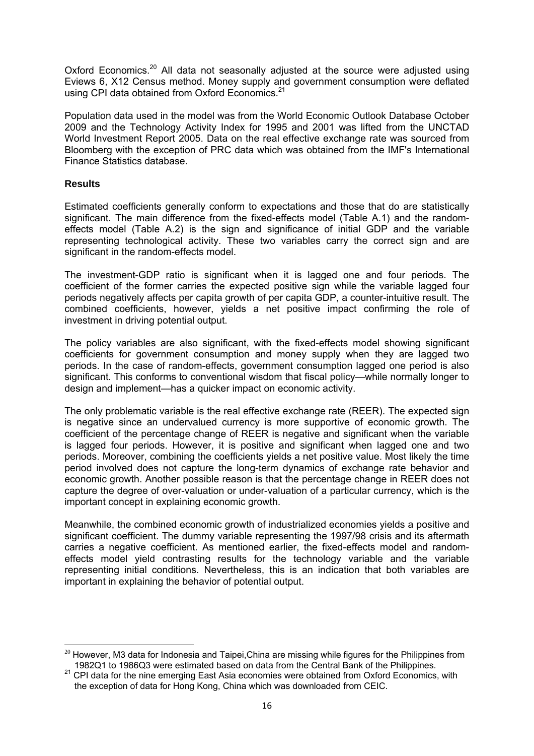Oxford Economics.<sup>20</sup> All data not seasonally adjusted at the source were adjusted using Eviews 6, X12 Census method. Money supply and government consumption were deflated using CPI data obtained from Oxford Economics.<sup>21</sup>

Population data used in the model was from the World Economic Outlook Database October 2009 and the Technology Activity Index for 1995 and 2001 was lifted from the UNCTAD World Investment Report 2005. Data on the real effective exchange rate was sourced from Bloomberg with the exception of PRC data which was obtained from the IMF's International Finance Statistics database.

#### **Results**

Estimated coefficients generally conform to expectations and those that do are statistically significant. The main difference from the fixed-effects model (Table A.1) and the randomeffects model (Table A.2) is the sign and significance of initial GDP and the variable representing technological activity. These two variables carry the correct sign and are significant in the random-effects model.

The investment-GDP ratio is significant when it is lagged one and four periods. The coefficient of the former carries the expected positive sign while the variable lagged four periods negatively affects per capita growth of per capita GDP, a counter-intuitive result. The combined coefficients, however, yields a net positive impact confirming the role of investment in driving potential output.

The policy variables are also significant, with the fixed-effects model showing significant coefficients for government consumption and money supply when they are lagged two periods. In the case of random-effects, government consumption lagged one period is also significant. This conforms to conventional wisdom that fiscal policy—while normally longer to design and implement—has a quicker impact on economic activity.

The only problematic variable is the real effective exchange rate (REER). The expected sign is negative since an undervalued currency is more supportive of economic growth. The coefficient of the percentage change of REER is negative and significant when the variable is lagged four periods. However, it is positive and significant when lagged one and two periods. Moreover, combining the coefficients yields a net positive value. Most likely the time period involved does not capture the long-term dynamics of exchange rate behavior and economic growth. Another possible reason is that the percentage change in REER does not capture the degree of over-valuation or under-valuation of a particular currency, which is the important concept in explaining economic growth.

Meanwhile, the combined economic growth of industrialized economies yields a positive and significant coefficient. The dummy variable representing the 1997/98 crisis and its aftermath carries a negative coefficient. As mentioned earlier, the fixed-effects model and randomeffects model yield contrasting results for the technology variable and the variable representing initial conditions. Nevertheless, this is an indication that both variables are important in explaining the behavior of potential output.

  $^{20}$  However, M3 data for Indonesia and Taipei, China are missing while figures for the Philippines from

<sup>1982</sup>Q1 to 1986Q3 were estimated based on data from the Central Bank of the Philippines. 21 CPI data for the nine emerging East Asia economies were obtained from Oxford Economics, with the exception of data for Hong Kong, China which was downloaded from CEIC.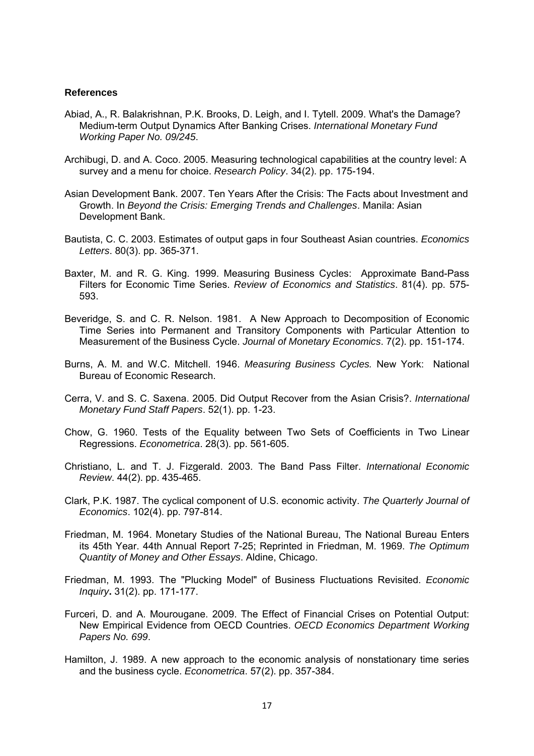#### **References**

- Abiad, A., R. Balakrishnan, P.K. Brooks, D. Leigh, and I. Tytell. 2009. What's the Damage? Medium-term Output Dynamics After Banking Crises. *International Monetary Fund Working Paper No. 09/245*.
- Archibugi, D. and A. Coco. 2005. Measuring technological capabilities at the country level: A survey and a menu for choice. *Research Policy*. 34(2). pp. 175-194.
- Asian Development Bank. 2007. Ten Years After the Crisis: The Facts about Investment and Growth. In *Beyond the Crisis: Emerging Trends and Challenges*. Manila: Asian Development Bank.
- Bautista, C. C. 2003. Estimates of output gaps in four Southeast Asian countries. *Economics Letters*. 80(3). pp. 365-371.
- Baxter, M. and R. G. King. 1999. Measuring Business Cycles: Approximate Band-Pass Filters for Economic Time Series. *Review of Economics and Statistics*. 81(4). pp. 575- 593.
- Beveridge, S. and C. R. Nelson. 1981. A New Approach to Decomposition of Economic Time Series into Permanent and Transitory Components with Particular Attention to Measurement of the Business Cycle. *Journal of Monetary Economics*. 7(2). pp. 151-174.
- Burns, A. M. and W.C. Mitchell. 1946. *Measuring Business Cycles.* New York: National Bureau of Economic Research.
- Cerra, V. and S. C. Saxena. 2005. Did Output Recover from the Asian Crisis?. *International Monetary Fund Staff Papers*. 52(1). pp. 1-23.
- Chow, G. 1960. Tests of the Equality between Two Sets of Coefficients in Two Linear Regressions. *Econometrica*. 28(3). pp. 561-605.
- Christiano, L. and T. J. Fizgerald. 2003. The Band Pass Filter. *International Economic Review*. 44(2). pp. 435-465.
- Clark, P.K. 1987. The cyclical component of U.S. economic activity. *The Quarterly Journal of Economics*. 102(4). pp. 797-814.
- Friedman, M. 1964. Monetary Studies of the National Bureau, The National Bureau Enters its 45th Year. 44th Annual Report 7-25; Reprinted in Friedman, M. 1969. *The Optimum Quantity of Money and Other Essays*. Aldine, Chicago.
- Friedman, M. 1993. The "Plucking Model" of Business Fluctuations Revisited. *Economic Inquiry***.** 31(2). pp. 171-177.
- Furceri, D. and A. Mourougane. 2009. The Effect of Financial Crises on Potential Output: New Empirical Evidence from OECD Countries. *OECD Economics Department Working Papers No. 699*.
- Hamilton, J. 1989. A new approach to the economic analysis of nonstationary time series and the business cycle. *Econometrica*. 57(2). pp. 357-384.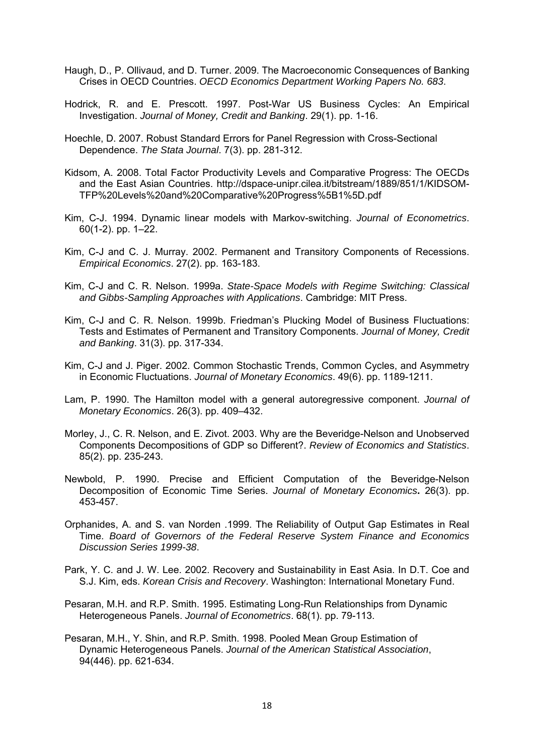- Haugh, D., P. Ollivaud, and D. Turner. 2009. The Macroeconomic Consequences of Banking Crises in OECD Countries. *OECD Economics Department Working Papers No. 683*.
- Hodrick, R. and E. Prescott. 1997. Post-War US Business Cycles: An Empirical Investigation. *Journal of Money, Credit and Banking*. 29(1). pp. 1-16.
- Hoechle, D. 2007. Robust Standard Errors for Panel Regression with Cross-Sectional Dependence. *The Stata Journal*. 7(3). pp. 281-312.
- Kidsom, A. 2008. Total Factor Productivity Levels and Comparative Progress: The OECDs and the East Asian Countries. http://dspace-unipr.cilea.it/bitstream/1889/851/1/KIDSOM-TFP%20Levels%20and%20Comparative%20Progress%5B1%5D.pdf
- Kim, C-J. 1994. Dynamic linear models with Markov-switching. *Journal of Econometrics*. 60(1-2). pp. 1–22.
- Kim, C-J and C. J. Murray. 2002. Permanent and Transitory Components of Recessions. *Empirical Economics*. 27(2). pp. 163-183.
- Kim, C-J and C. R. Nelson. 1999a. *State-Space Models with Regime Switching: Classical and Gibbs-Sampling Approaches with Applications*. Cambridge: MIT Press.
- Kim, C-J and C. R. Nelson. 1999b. Friedman's Plucking Model of Business Fluctuations: Tests and Estimates of Permanent and Transitory Components. *Journal of Money, Credit and Banking*. 31(3). pp. 317-334.
- Kim, C-J and J. Piger. 2002. Common Stochastic Trends, Common Cycles, and Asymmetry in Economic Fluctuations. *Journal of Monetary Economics*. 49(6). pp. 1189-1211.
- Lam, P. 1990. The Hamilton model with a general autoregressive component. *Journal of Monetary Economics*. 26(3). pp. 409–432.
- Morley, J., C. R. Nelson, and E. Zivot. 2003. Why are the Beveridge-Nelson and Unobserved Components Decompositions of GDP so Different?. *Review of Economics and Statistics*. 85(2). pp. 235-243.
- Newbold, P. 1990. Precise and Efficient Computation of the Beveridge-Nelson Decomposition of Economic Time Series. *Journal of Monetary Economics***.** 26(3). pp. 453-457.
- Orphanides, A. and S. van Norden .1999. The Reliability of Output Gap Estimates in Real Time. *Board of Governors of the Federal Reserve System Finance and Economics Discussion Series 1999-38*.
- Park, Y. C. and J. W. Lee. 2002. Recovery and Sustainability in East Asia. In D.T. Coe and S.J. Kim, eds. *Korean Crisis and Recovery*. Washington: International Monetary Fund.
- Pesaran, M.H. and R.P. Smith. 1995. Estimating Long-Run Relationships from Dynamic Heterogeneous Panels. *Journal of Econometrics*. 68(1). pp. 79-113.
- Pesaran, M.H., Y. Shin, and R.P. Smith. 1998. Pooled Mean Group Estimation of Dynamic Heterogeneous Panels. *Journal of the American Statistical Association*, 94(446). pp. 621-634.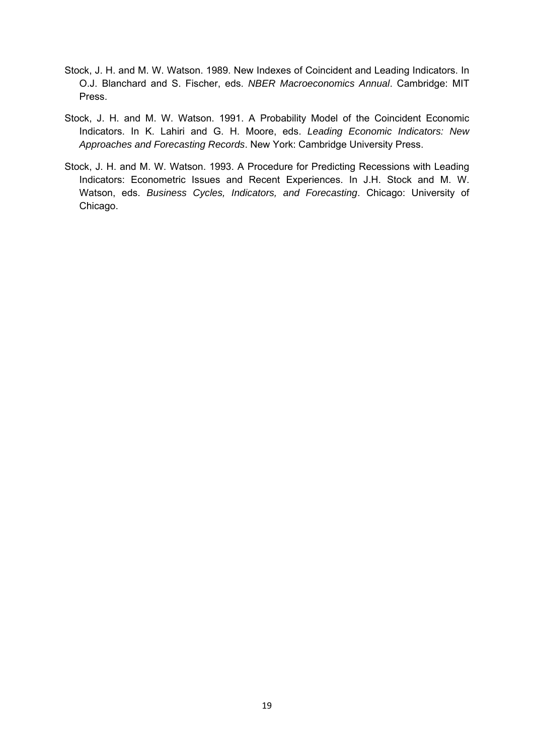- Stock, J. H. and M. W. Watson. 1989. New Indexes of Coincident and Leading Indicators. In O.J. Blanchard and S. Fischer, eds. *NBER Macroeconomics Annual*. Cambridge: MIT Press.
- Stock, J. H. and M. W. Watson. 1991. A Probability Model of the Coincident Economic Indicators. In K. Lahiri and G. H. Moore, eds. *Leading Economic Indicators: New Approaches and Forecasting Records*. New York: Cambridge University Press.
- Stock, J. H. and M. W. Watson. 1993. A Procedure for Predicting Recessions with Leading Indicators: Econometric Issues and Recent Experiences. In J.H. Stock and M. W. Watson, eds. *Business Cycles, Indicators, and Forecasting*. Chicago: University of Chicago.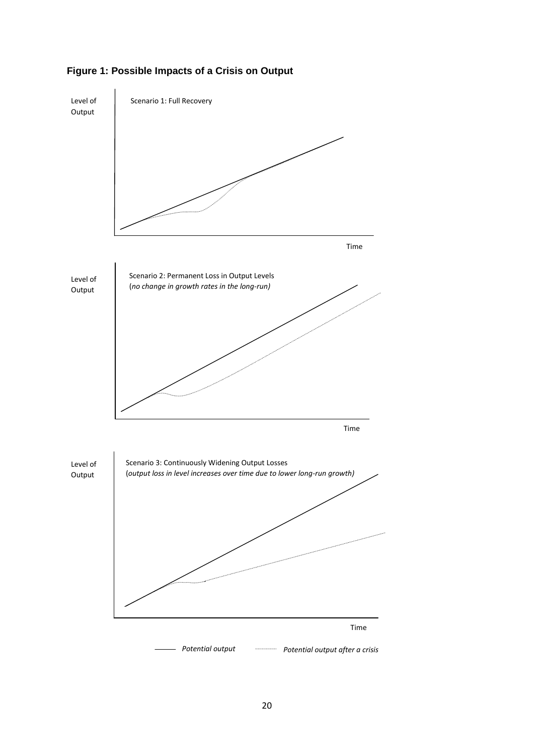

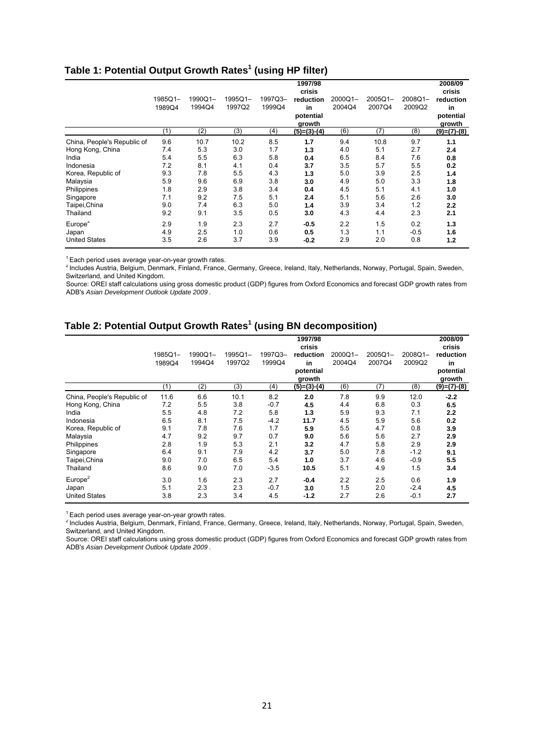#### Table 1: Potential Output Growth Rates<sup>1</sup> (using HP filter)

|                             | 1985Q1-<br>1989Q4 | 1990Q1-<br>1994Q4 | 1995Q1-<br>1997Q2 | 1997Q3-<br>1999Q4 | 1997/98<br>crisis<br>reduction<br>in<br>potential<br>growth | 2000Q1-<br>2004Q4 | 2005Q1-<br>2007Q4 | 2008Q1-<br>2009Q2 | 2008/09<br>crisis<br>reduction<br>in<br>potential<br>growth |
|-----------------------------|-------------------|-------------------|-------------------|-------------------|-------------------------------------------------------------|-------------------|-------------------|-------------------|-------------------------------------------------------------|
|                             | (1)               | (2)               | (3)               | (4)               | (5)=(3)-(4)                                                 | (6)               | (7)               | (8)               | $(9)=(7)-(8)$                                               |
| China, People's Republic of | 9.6               | 10.7              | 10.2              | 8.5               | 1.7                                                         | 9.4               | 10.8              | 9.7               | 1.1                                                         |
| Hong Kong, China            | 7.4               | 5.3               | 3.0               | 1.7               | 1.3                                                         | 4.0               | 5.1               | 2.7               | 2.4                                                         |
| India                       | 5.4               | 5.5               | 6.3               | 5.8               | 0.4                                                         | 6.5               | 8.4               | 7.6               | 0.8                                                         |
| Indonesia                   | 7.2               | 8.1               | 4.1               | 0.4               | 3.7                                                         | 3.5               | 5.7               | 5.5               | 0.2                                                         |
| Korea, Republic of          | 9.3               | 7.8               | 5.5               | 4.3               | 1.3                                                         | 5.0               | 3.9               | 2.5               | 1.4                                                         |
| Malaysia                    | 5.9               | 9.6               | 6.9               | 3.8               | 3.0                                                         | 4.9               | 5.0               | 3.3               | 1.8                                                         |
| Philippines                 | 1.8               | 2.9               | 3.8               | 3.4               | 0.4                                                         | 4.5               | 5.1               | 4.1               | 1.0                                                         |
| Singapore                   | 7.1               | 9.2               | 7.5               | 5.1               | 2.4                                                         | 5.1               | 5.6               | 2.6               | 3.0                                                         |
| Taipei, China               | 9.0               | 7.4               | 6.3               | 5.0               | 1.4                                                         | 3.9               | 3.4               | 1.2               | 2.2                                                         |
| Thailand                    | 9.2               | 9.1               | 3.5               | 0.5               | 3.0                                                         | 4.3               | 4.4               | 2.3               | 2.1                                                         |
| Europe <sup>2</sup>         | 2.9               | 1.9               | 2.3               | 2.7               | $-0.5$                                                      | 2.2               | 1.5               | 0.2               | 1.3                                                         |
| Japan                       | 4.9               | 2.5               | 1.0               | 0.6               | 0.5                                                         | 1.3               | 1.1               | $-0.5$            | 1.6                                                         |
| <b>United States</b>        | 3.5               | 2.6               | 3.7               | 3.9               | $-0.2$                                                      | 2.9               | 2.0               | 0.8               | 1.2                                                         |

 $1$  Each period uses average year-on-year growth rates.

<sup>2</sup> Includes Austria, Belgium, Denmark, Finland, France, Germany, Greece, Ireland, Italy, Netherlands, Norway, Portugal, Spain, Sweden, Switzerland, and United Kingdom.

Source: OREI staff calculations using gross domestic product (GDP) figures from Oxford Economics and forecast GDP growth rates from ADB's *Asian Development Outlook Update 2009* .

#### Table 2: Potential Output Growth Rates<sup>1</sup> (using BN decomposition)

|                             | 1985Q1-<br>1989Q4 | 1990Q1-<br>1994Q4 | 1995Q1-<br>1997Q2 | 1997Q3-<br>1999Q4 | 1997/98<br>crisis<br>reduction<br>in<br>potential<br>growth | 2000Q1-<br>2004Q4 | 2005Q1-<br>2007Q4 | 2008Q1-<br>2009Q2 | 2008/09<br>crisis<br>reduction<br>in<br>potential<br>growth |
|-----------------------------|-------------------|-------------------|-------------------|-------------------|-------------------------------------------------------------|-------------------|-------------------|-------------------|-------------------------------------------------------------|
|                             | (1)               | (2)               | (3)               | (4)               | $(5)=(3)-(4)$                                               | (6)               | (7)               | (8)               | $(9)=(7)-(8)$                                               |
| China, People's Republic of | 11.6              | 6.6               | 10.1              | 8.2               | 2.0                                                         | 7.8               | 9.9               | 12.0              | $-2.2$                                                      |
| Hong Kong, China            | 7.2               | 5.5               | 3.8               | $-0.7$            | 4.5                                                         | 4.4               | 6.8               | 0.3               | 6.5                                                         |
| India                       | 5.5               | 4.8               | 7.2               | 5.8               | 1.3                                                         | 5.9               | 9.3               | 7.1               | 2.2                                                         |
| Indonesia                   | 6.5               | 8.1               | 7.5               | $-4.2$            | 11.7                                                        | 4.5               | 5.9               | 5.6               | 0.2                                                         |
| Korea, Republic of          | 9.1               | 7.8               | 7.6               | 1.7               | 5.9                                                         | 5.5               | 4.7               | 0.8               | 3.9                                                         |
| Malaysia                    | 4.7               | 9.2               | 9.7               | 0.7               | 9.0                                                         | 5.6               | 5.6               | 2.7               | 2.9                                                         |
| Philippines                 | 2.8               | 1.9               | 5.3               | 2.1               | 3.2                                                         | 4.7               | 5.8               | 2.9               | 2.9                                                         |
| Singapore                   | 6.4               | 9.1               | 7.9               | 4.2               | 3.7                                                         | 5.0               | 7.8               | $-1.2$            | 9.1                                                         |
| Taipei,China                | 9.0               | 7.0               | 6.5               | 5.4               | 1.0                                                         | 3.7               | 4.6               | $-0.9$            | 5.5                                                         |
| Thailand                    | 8.6               | 9.0               | 7.0               | $-3.5$            | 10.5                                                        | 5.1               | 4.9               | 1.5               | 3.4                                                         |
| Europe <sup>2</sup>         | 3.0               | 1.6               | 2.3               | 2.7               | $-0.4$                                                      | 2.2               | 2.5               | 0.6               | 1.9                                                         |
| Japan                       | 5.1               | 2.3               | 2.3               | $-0.7$            | 3.0                                                         | 1.5               | 2.0               | $-2.4$            | 4.5                                                         |
| <b>United States</b>        | 3.8               | 2.3               | 3.4               | 4.5               | $-1.2$                                                      | 2.7               | 2.6               | $-0.1$            | 2.7                                                         |

 $1$  Each period uses average year-on-year growth rates.

<sup>2</sup> Includes Austria, Belgium, Denmark, Finland, France, Germany, Greece, Ireland, Italy, Netherlands, Norway, Portugal, Spain, Sweden, Switzerland, and United Kingdom.

Source: OREI staff calculations using gross domestic product (GDP) figures from Oxford Economics and forecast GDP growth rates from ADB's *Asian Development Outlook Update 2009* .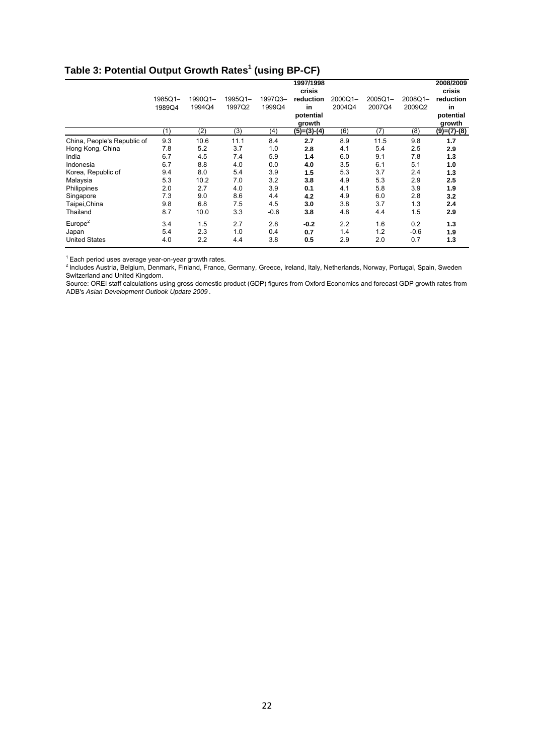#### Table 3: Potential Output Growth Rates<sup>1</sup> (using BP-CF)

|                             |         |         |         |         | 1997/1998<br>crisis |         |         |         | 2008/2009<br>crisis |
|-----------------------------|---------|---------|---------|---------|---------------------|---------|---------|---------|---------------------|
|                             | 1985Q1- | 1990Q1- | 1995Q1- | 1997Q3- | reduction           | 2000Q1- | 2005Q1- | 2008Q1- | reduction           |
|                             | 1989Q4  | 1994Q4  | 1997Q2  | 1999Q4  | in                  | 2004Q4  | 2007Q4  | 2009Q2  | in                  |
|                             |         |         |         |         | potential           |         |         |         | potential           |
|                             |         |         |         |         | growth              |         |         |         | growth              |
|                             | (1)     | (2)     | (3)     | (4)     | $(5)=(3)-(4)$       | (6)     | (7)     | (8)     | $(9) = (7) - (8)$   |
| China, People's Republic of | 9.3     | 10.6    | 11.1    | 8.4     | 2.7                 | 8.9     | 11.5    | 9.8     | 1.7                 |
| Hong Kong, China            | 7.8     | 5.2     | 3.7     | 1.0     | 2.8                 | 4.1     | 5.4     | 2.5     | 2.9                 |
| India                       | 6.7     | 4.5     | 7.4     | 5.9     | 1.4                 | 6.0     | 9.1     | 7.8     | 1.3                 |
| Indonesia                   | 6.7     | 8.8     | 4.0     | 0.0     | 4.0                 | 3.5     | 6.1     | 5.1     | 1.0                 |
| Korea, Republic of          | 9.4     | 8.0     | 5.4     | 3.9     | 1.5                 | 5.3     | 3.7     | 2.4     | 1.3                 |
| Malaysia                    | 5.3     | 10.2    | 7.0     | 3.2     | 3.8                 | 4.9     | 5.3     | 2.9     | 2.5                 |
| Philippines                 | 2.0     | 2.7     | 4.0     | 3.9     | 0.1                 | 4.1     | 5.8     | 3.9     | 1.9                 |
| Singapore                   | 7.3     | 9.0     | 8.6     | 4.4     | 4.2                 | 4.9     | 6.0     | 2.8     | 3.2                 |
| Taipei,China                | 9.8     | 6.8     | 7.5     | 4.5     | 3.0                 | 3.8     | 3.7     | 1.3     | 2.4                 |
| Thailand                    | 8.7     | 10.0    | 3.3     | $-0.6$  | 3.8                 | 4.8     | 4.4     | 1.5     | 2.9                 |
| Europe <sup>2</sup>         | 3.4     | 1.5     | 2.7     | 2.8     | $-0.2$              | 2.2     | 1.6     | 0.2     | 1.3                 |
| Japan                       | 5.4     | 2.3     | 1.0     | 0.4     | 0.7                 | 1.4     | 1.2     | $-0.6$  | 1.9                 |
| <b>United States</b>        | 4.0     | 2.2     | 4.4     | 3.8     | 0.5                 | 2.9     | 2.0     | 0.7     | 1.3                 |

 $1$  Each period uses average year-on-year growth rates.

<sup>2</sup> Includes Austria, Belgium, Denmark, Finland, France, Germany, Greece, Ireland, Italy, Netherlands, Norway, Portugal, Spain, Sweden Switzerland and United Kingdom.

Source: OREI staff calculations using gross domestic product (GDP) figures from Oxford Economics and forecast GDP growth rates from ADB's *Asian Development Outlook Update 2009* .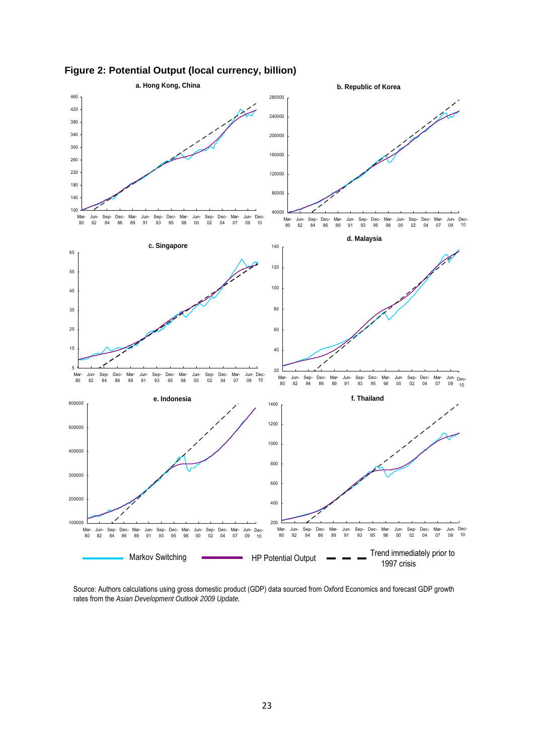

**Figure 2: Potential Output (local currency, billion)** 

Source: Authors calculations using gross domestic product (GDP) data sourced from Oxford Economics and forecast GDP growth rates from the *Asian Development Outlook 2009 Update.*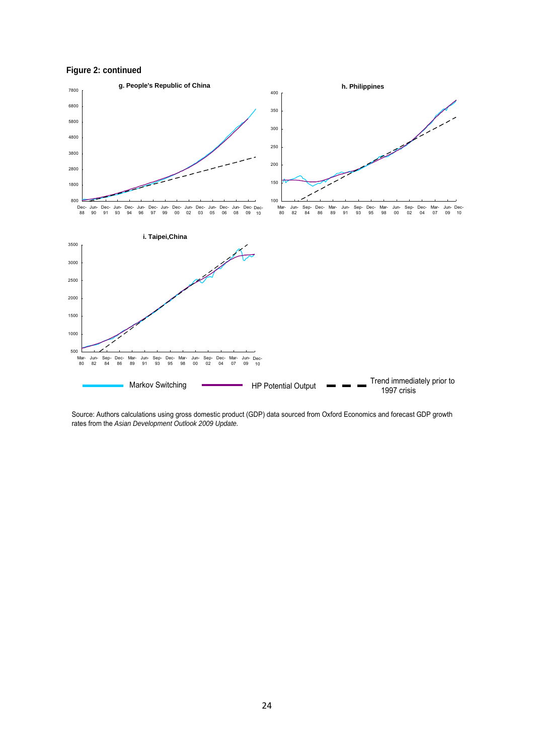#### **Figure 2: continued**



Source: Authors calculations using gross domestic product (GDP) data sourced from Oxford Economics and forecast GDP growth rates from the *Asian Development Outlook 2009 Update.*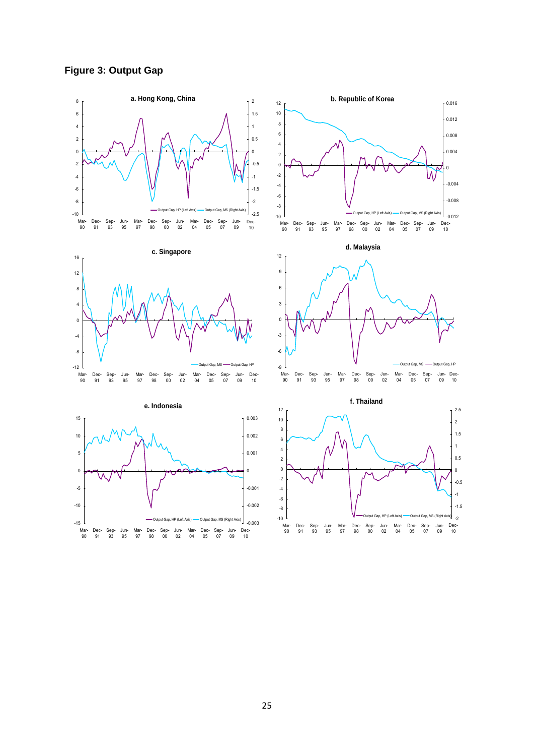



25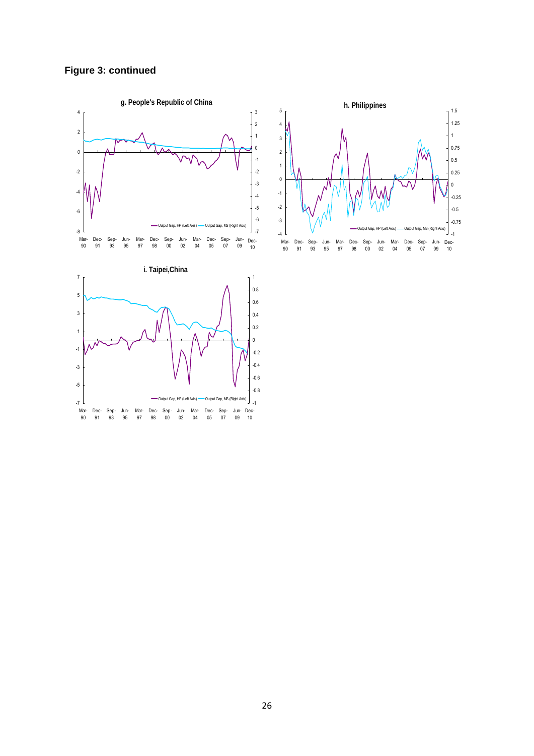## **Figure 3: continued**



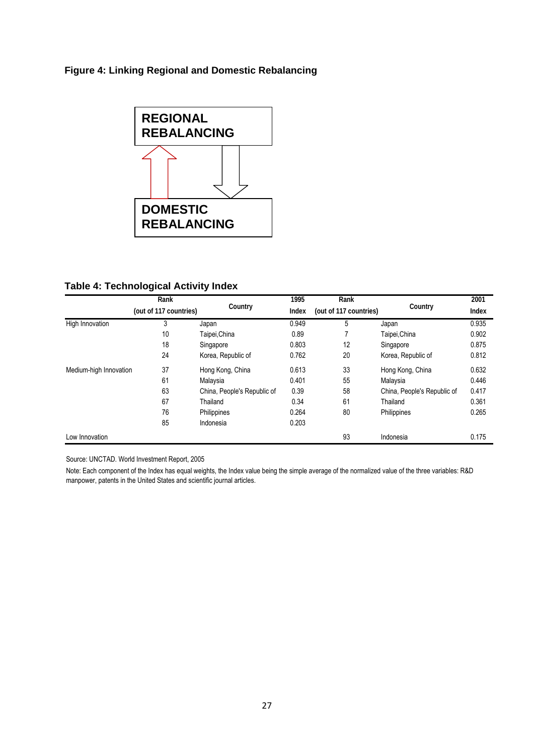#### **Figure 4: Linking Regional and Domestic Rebalancing**



**Table 4: Technological Activity Index** 

|                        | Rank                   |                             | 1995         | Rank                   |                             | 2001  |
|------------------------|------------------------|-----------------------------|--------------|------------------------|-----------------------------|-------|
|                        | (out of 117 countries) | Country                     | <b>Index</b> | (out of 117 countries) | Country                     | Index |
| High Innovation        | 3                      | Japan                       | 0.949        | 5                      | Japan                       | 0.935 |
|                        | 10                     | Taipei, China               | 0.89         |                        | Taipei, China               | 0.902 |
|                        | 18                     | Singapore                   | 0.803        | 12                     | Singapore                   | 0.875 |
|                        | 24                     | Korea, Republic of          | 0.762        | 20                     | Korea, Republic of          | 0.812 |
| Medium-high Innovation | 37                     | Hong Kong, China            | 0.613        | 33                     | Hong Kong, China            | 0.632 |
|                        | 61                     | Malaysia                    | 0.401        | 55                     | Malaysia                    | 0.446 |
|                        | 63                     | China, People's Republic of | 0.39         | 58                     | China, People's Republic of | 0.417 |
|                        | 67                     | Thailand                    | 0.34         | 61                     | Thailand                    | 0.361 |
|                        | 76                     | Philippines                 | 0.264        | 80                     | Philippines                 | 0.265 |
|                        | 85                     | Indonesia                   | 0.203        |                        |                             |       |
| Low Innovation         |                        |                             |              | 93                     | Indonesia                   | 0.175 |

Source: UNCTAD. World Investment Report, 2005

Note: Each component of the Index has equal weights, the Index value being the simple average of the normalized value of the three variables: R&D manpower, patents in the United States and scientific journal articles.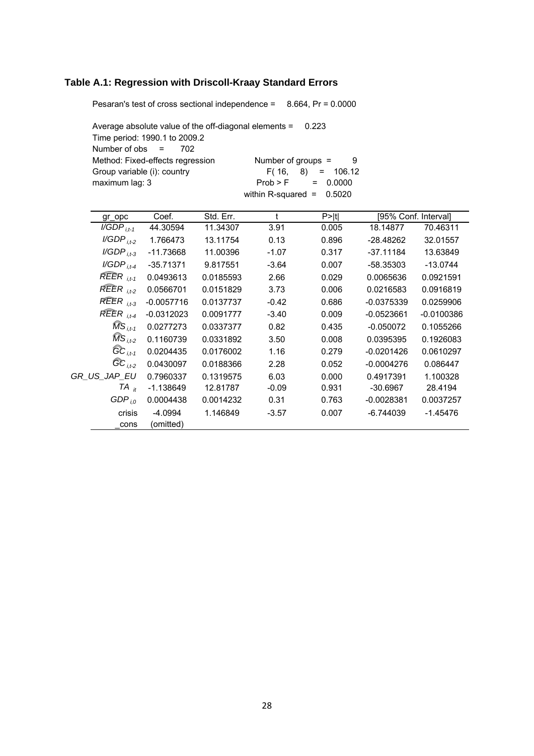#### **Table A.1: Regression with Driscoll-Kraay Standard Errors**

Pesaran's test of cross sectional independence = 8.664, Pr = 0.0000

Average absolute value of the off-diagonal elements = 0.223 Time period: 1990.1 to 2009.2 Number of obs = 702 Method: Fixed-effects regression Number of groups = 9<br>Group variable (i): country F(16, 8) = 106.12 Group variable (i): country maximum lag:  $3$  Prob > F = 0.0000 within R-squared =  $0.5020$ 

| gr_opc                        | Coef.        | Std. Err. | t       | P >  t |              | [95% Conf. Interval] |
|-------------------------------|--------------|-----------|---------|--------|--------------|----------------------|
| $I/GDP$ <sub>i.t-1</sub>      | 44.30594     | 11.34307  | 3.91    | 0.005  | 18.14877     | 70.46311             |
| $I/GDP$ <sub>i.t-2</sub>      | 1.766473     | 13.11754  | 0.13    | 0.896  | -28.48262    | 32.01557             |
| $I/GDP_{i,t-3}$               | $-11.73668$  | 11.00396  | $-1.07$ | 0.317  | -37.11184    | 13.63849             |
| $I/GDP_{i,t-4}$               | $-35.71371$  | 9.817551  | $-3.64$ | 0.007  | -58.35303    | $-13.0744$           |
| $\widehat{REER}_{i,t-1}$      | 0.0493613    | 0.0185593 | 2.66    | 0.029  | 0.0065636    | 0.0921591            |
| $R\widehat{EER}_{i,t-2}$      | 0.0566701    | 0.0151829 | 3.73    | 0.006  | 0.0216583    | 0.0916819            |
| $R\widetilde{EER}_{i,t-3}$    | -0.0057716   | 0.0137737 | $-0.42$ | 0.686  | $-0.0375339$ | 0.0259906            |
| $R\widehat{EER}_{i,t-4}$      | $-0.0312023$ | 0.0091777 | $-3.40$ | 0.009  | $-0.0523661$ | $-0.0100386$         |
| $\widehat{MS}_{i,t-1}$        | 0.0277273    | 0.0337377 | 0.82    | 0.435  | $-0.050072$  | 0.1055266            |
| $\widehat{MS}_{i.t\text{-}2}$ | 0.1160739    | 0.0331892 | 3.50    | 0.008  | 0.0395395    | 0.1926083            |
| $GC_{i,t-1}$                  | 0.0204435    | 0.0176002 | 1.16    | 0.279  | $-0.0201426$ | 0.0610297            |
| $GC_{i,t-2}$                  | 0.0430097    | 0.0188366 | 2.28    | 0.052  | $-0.0004276$ | 0.086447             |
| GR_US_JAP_EU                  | 0.7960337    | 0.1319575 | 6.03    | 0.000  | 0.4917391    | 1.100328             |
| $TA_{it}$                     | $-1.138649$  | 12.81787  | $-0.09$ | 0.931  | $-30.6967$   | 28.4194              |
| $GDP_{i,0}$                   | 0.0004438    | 0.0014232 | 0.31    | 0.763  | $-0.0028381$ | 0.0037257            |
| crisis                        | $-4.0994$    | 1.146849  | $-3.57$ | 0.007  | -6.744039    | $-1.45476$           |
| cons                          | (omitted)    |           |         |        |              |                      |